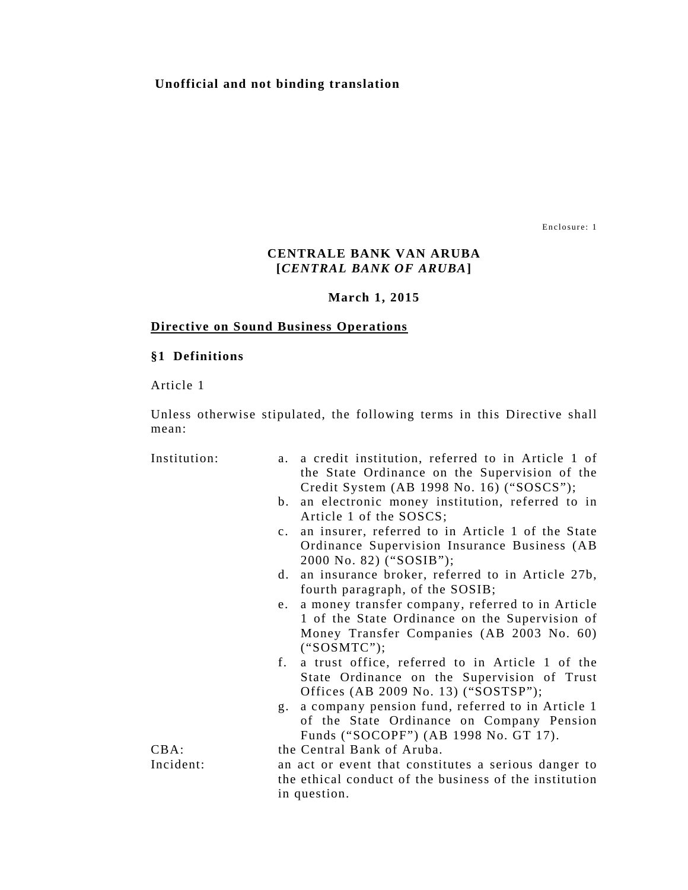### **Unofficial and not binding translation**

Enclosure: 1

# **CENTRALE BANK VAN ARUBA [***CENTRAL BANK OF ARUBA***]**

#### **March 1, 2015**

#### **Directive on Sound Business Operations**

### **§1 Definitions**

Article 1

Unless otherwise stipulated, the following terms in this Directive shall mean:

Institution:

| a. a credit institution, referred to in Article 1 of |
|------------------------------------------------------|
| the State Ordinance on the Supervision of the        |
| Credit System (AB 1998 No. 16) (" $SOSCS$ ");        |

- b. an electronic money institution, referred to in Article 1 of the SOSCS;
- c. an insurer, referred to in Article 1 of the State Ordinance Supervision Insurance Business (AB 2000 No. 82) ("SOSIB");
- d. an insurance broker, referred to in Article 27b, fourth paragraph, of the SOSIB;
- e. a money transfer company, referred to in Article 1 of the State Ordinance on the Supervision of Money Transfer Companies (AB 2003 No. 60) ("SOSMTC");
- f. a trust office, referred to in Article 1 of the State Ordinance on the Supervision of Trust Offices (AB 2009 No. 13) ("SOSTSP");
- g. a company pension fund, referred to in Article 1 of the State Ordinance on Company Pension Funds ("SOCOPF") (AB 1998 No. GT 17).

CBA: the Central Bank of Aruba.

Incident: an act or event that constitutes a serious danger to the ethical conduct of the business of the institution in question.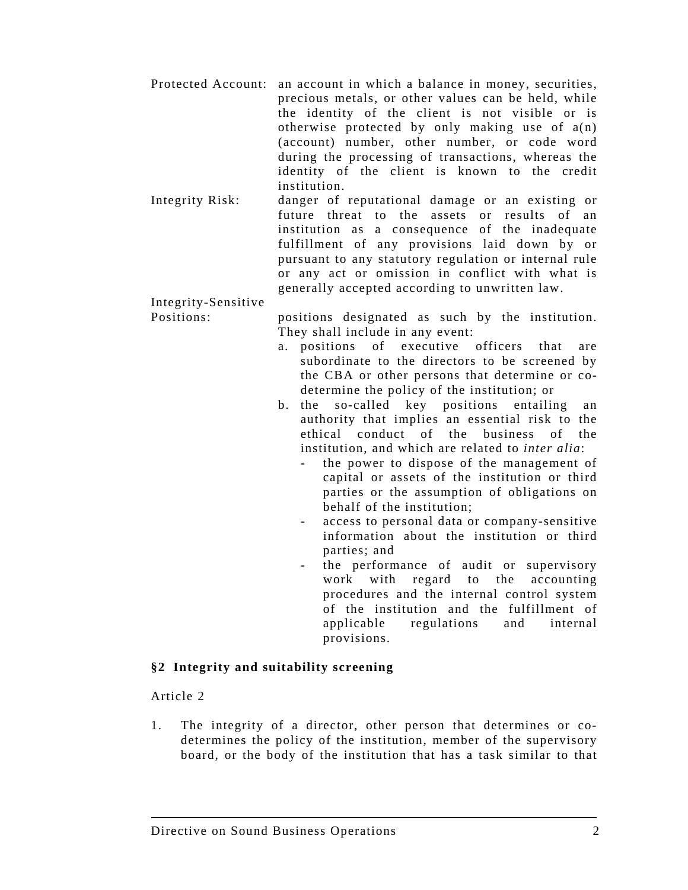- Protected Account: an account in which a balance in money, securities, precious metals, or other values can be held, while the identity of the client is not visible or is otherwise protected by only making use of a(n) (account) number, other number, or code word during the processing of transactions, whereas the identity of the client is known to the credit institution.
- Integrity Risk: danger of reputational damage or an existing or future threat to the assets or results of an institution as a consequence of the inadequate fulfillment of any provisions laid down by or pursuant to any statutory regulation or internal rule or any act or omission in conflict with what is generally accepted according to unwritten law.

Integrity-Sensitive

Positions: positions designated as such by the institution. They shall include in any event:

- a. positions of executive officers that are subordinate to the directors to be screened by the CBA or other persons that determine or codetermine the policy of the institution; or
- b. the so-called key positions entailing an authority that implies an essential risk to the ethical conduct of the business of the institution, and which are related to *inter alia*:
	- the power to dispose of the management of capital or assets of the institution or third parties or the assumption of obligations on behalf of the institution;
	- access to personal data or company-sensitive information about the institution or third parties; and
	- the performance of audit or supervisory work with regard to the accounting procedures and the internal control system of the institution and the fulfillment of applicable regulations and internal provisions.

# **§2 Integrity and suitability screening**

Article 2

1. The integrity of a director, other person that determines or codetermines the policy of the institution, member of the supervisory board, or the body of the institution that has a task similar to that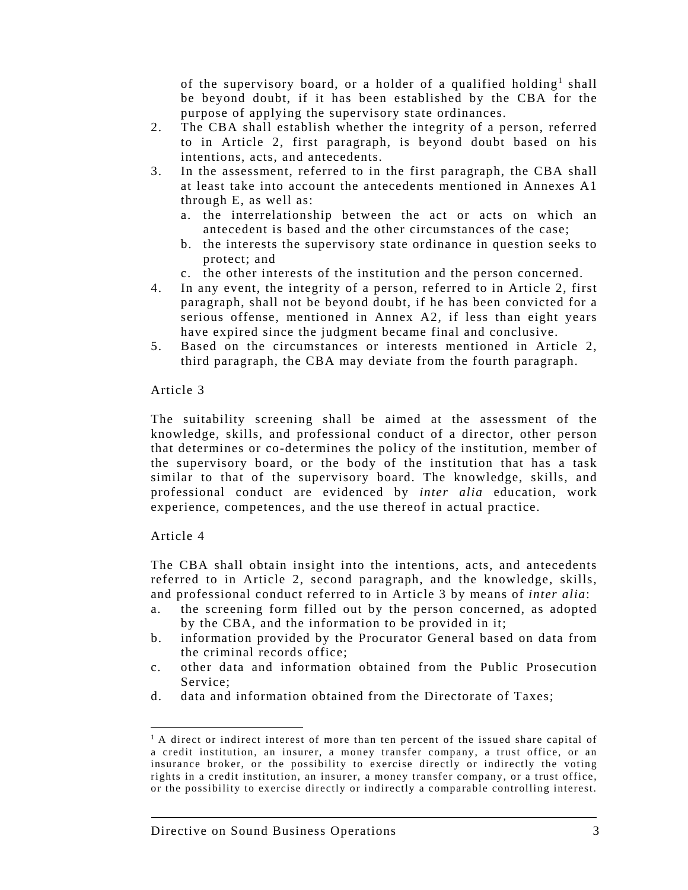of the supervisory board, or a holder of a qualified holding<sup>1</sup> shall be beyond doubt, if it has been established by the CBA for the purpose of applying the supervisory state ordinances.

- 2. The CBA shall establish whether the integrity of a person, referred to in Article 2, first paragraph, is beyond doubt based on his intentions, acts, and antecedents.
- 3. In the assessment, referred to in the first paragraph, the CBA shall at least take into account the antecedents mentioned in Annexes A1 through E, as well as:
	- a. the interrelationship between the act or acts on which an antecedent is based and the other circumstances of the case;
	- b. the interests the supervisory state ordinance in question seeks to protect; and
	- c. the other interests of the institution and the person concerned.
- 4. In any event, the integrity of a person, referred to in Article 2, first paragraph, shall not be beyond doubt, if he has been convicted for a serious offense, mentioned in Annex A2, if less than eight years have expired since the judgment became final and conclusive.
- 5. Based on the circumstances or interests mentioned in Article 2, third paragraph, the CBA may deviate from the fourth paragraph.

#### Article 3

The suitability screening shall be aimed at the assessment of the knowledge, skills, and professional conduct of a director, other person that determines or co-determines the policy of the institution, member of the supervisory board, or the body of the institution that has a task similar to that of the supervisory board. The knowledge, skills, and professional conduct are evidenced by *inter alia* education, work experience, competences, and the use thereof in actual practice.

#### Article 4

The CBA shall obtain insight into the intentions, acts, and antecedents referred to in Article 2, second paragraph, and the knowledge, skills, and professional conduct referred to in Article 3 by means of *inter alia*:

- a. the screening form filled out by the person concerned, as adopted by the CBA, and the information to be provided in it;
- b. information provided by the Procurator General based on data from the criminal records office;
- c. other data and information obtained from the Public Prosecution Service;
- d. data and information obtained from the Directorate of Taxes;

 $\overline{\phantom{a}}$  $<sup>1</sup>$  A direct or indirect interest of more than ten percent of the issued share capital of</sup> a credit institution, an insurer, a money transfer company, a trust office, or an insurance broker, or the possibility to exercise directly or indirectly the voting rights in a credit institution, an insurer, a money transfer company, or a trust office, or the possibility to exercise directly or indirectly a comparable controlling interest.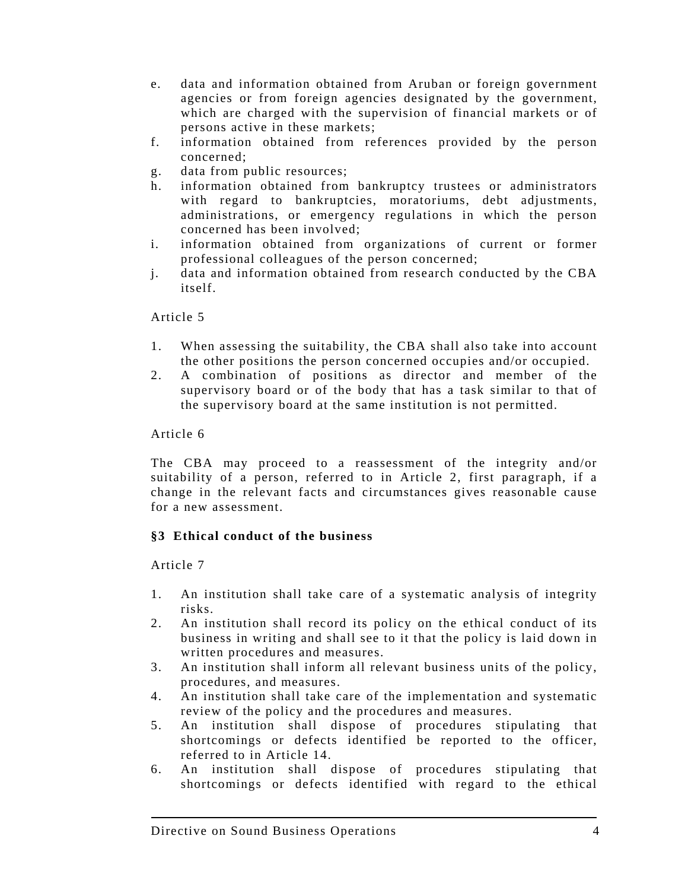- e. data and information obtained from Aruban or foreign government agencies or from foreign agencies designated by the government, which are charged with the supervision of financial markets or of persons active in these markets;
- f. information obtained from references provided by the person concerned;
- g. data from public resources;
- h. information obtained from bankruptcy trustees or administrators with regard to bankruptcies, moratoriums, debt adjustments, administrations, or emergency regulations in which the person concerned has been involved;
- i. information obtained from organizations of current or former professional colleagues of the person concerned;
- j. data and information obtained from research conducted by the CBA itself.

### Article 5

- 1. When assessing the suitability, the CBA shall also take into account the other positions the person concerned occupies and/or occupied.
- 2. A combination of positions as director and member of the supervisory board or of the body that has a task similar to that of the supervisory board at the same institution is not permitted.

### Article 6

The CBA may proceed to a reassessment of the integrity and/or suitability of a person, referred to in Article 2, first paragraph, if a change in the relevant facts and circumstances gives reasonable cause for a new assessment.

# **§3 Ethical conduct of the business**

- 1. An institution shall take care of a systematic analysis of integrity risks.
- 2. An institution shall record its policy on the ethical conduct of its business in writing and shall see to it that the policy is laid down in written procedures and measures.
- 3. An institution shall inform all relevant business units of the policy, procedures, and measures.
- 4. An institution shall take care of the implementation and systematic review of the policy and the procedures and measures.
- 5. An institution shall dispose of procedures stipulating that shortcomings or defects identified be reported to the officer, referred to in Article 14.
- 6. An institution shall dispose of procedures stipulating that shortcomings or defects identified with regard to the ethical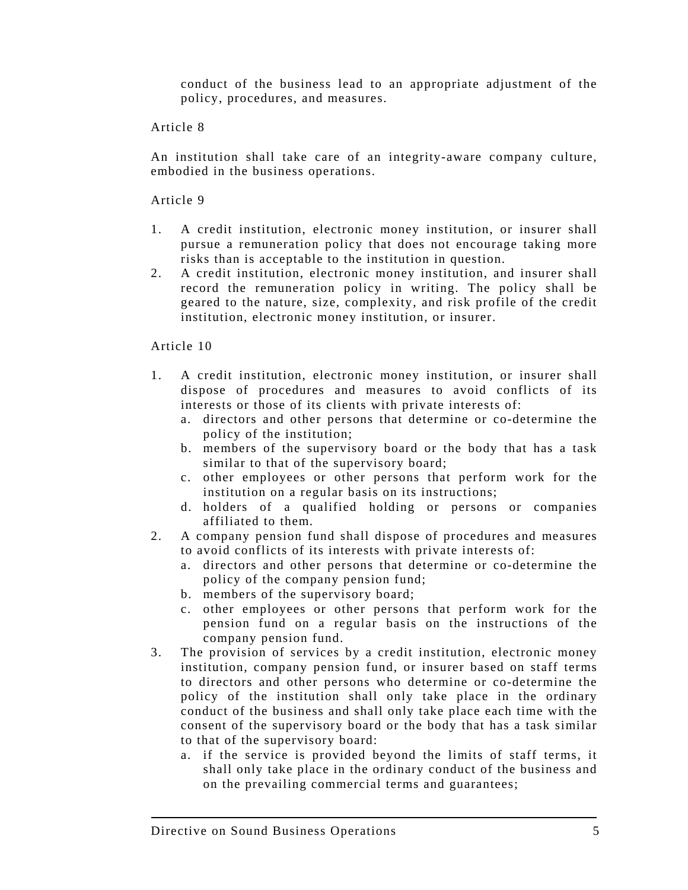conduct of the business lead to an appropriate adjustment of the policy, procedures, and measures.

# Article 8

An institution shall take care of an integrity-aware company culture, embodied in the business operations.

# Article 9

- 1. A credit institution, electronic money institution, or insurer shall pursue a remuneration policy that does not encourage taking more risks than is acceptable to the institution in question.
- 2. A credit institution, electronic money institution, and insurer shall record the remuneration policy in writing. The policy shall be geared to the nature, size, complexity, and risk profile of the credit institution, electronic money institution, or insurer.

- 1. A credit institution, electronic money institution, or insurer shall dispose of procedures and measures to avoid conflicts of its interests or those of its clients with private interests of:
	- a. directors and other persons that determine or co-determine the policy of the institution;
	- b. members of the supervisory board or the body that has a task similar to that of the supervisory board;
	- c. other employees or other persons that perform work for the institution on a regular basis on its instructions;
	- d. holders of a qualified holding or persons or companies affiliated to them.
- 2. A company pension fund shall dispose of procedures and measures to avoid conflicts of its interests with private interests of:
	- a. directors and other persons that determine or co-determine the policy of the company pension fund;
	- b. members of the supervisory board;
	- c. other employees or other persons that perform work for the pension fund on a regular basis on the instructions of the company pension fund.
- 3. The provision of services by a credit institution, electronic money institution, company pension fund, or insurer based on staff terms to directors and other persons who determine or co-determine the policy of the institution shall only take place in the ordinary conduct of the business and shall only take place each time with the consent of the supervisory board or the body that has a task similar to that of the supervisory board:
	- a. if the service is provided beyond the limits of staff terms, it shall only take place in the ordinary conduct of the business and on the prevailing commercial terms and guarantees;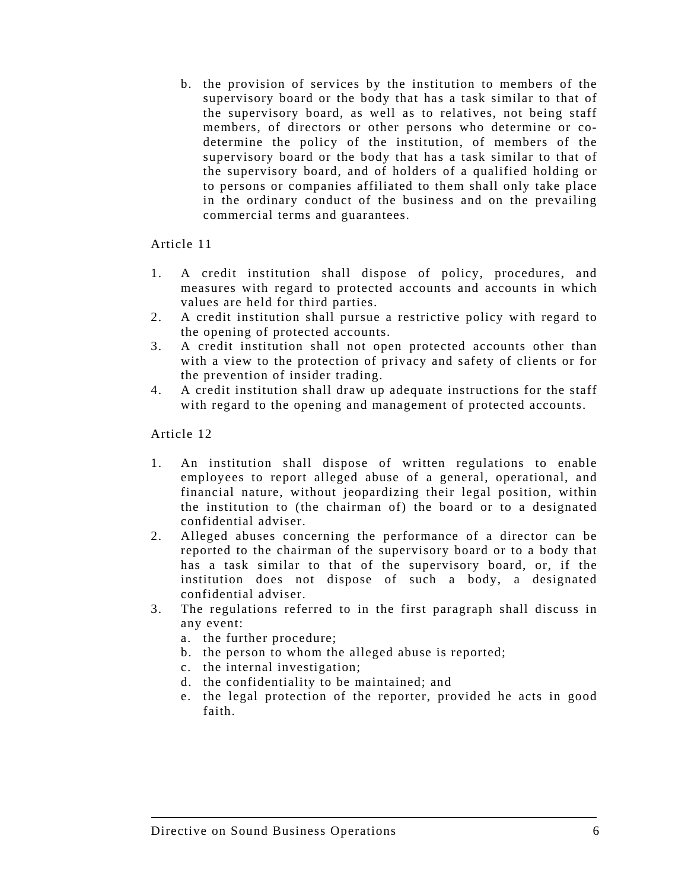b. the provision of services by the institution to members of the supervisory board or the body that has a task similar to that of the supervisory board, as well as to relatives, not being staff members, of directors or other persons who determine or codetermine the policy of the institution, of members of the supervisory board or the body that has a task similar to that of the supervisory board, and of holders of a qualified holding or to persons or companies affiliated to them shall only take place in the ordinary conduct of the business and on the prevailing commercial terms and guarantees.

# Article 11

- 1. A credit institution shall dispose of policy, procedures, and measures with regard to protected accounts and accounts in which values are held for third parties.
- 2. A credit institution shall pursue a restrictive policy with regard to the opening of protected accounts.
- 3. A credit institution shall not open protected accounts other than with a view to the protection of privacy and safety of clients or for the prevention of insider trading.
- 4. A credit institution shall draw up adequate instructions for the staff with regard to the opening and management of protected accounts.

- 1. An institution shall dispose of written regulations to enable employees to report alleged abuse of a general, operational, and financial nature, without jeopardizing their legal position, within the institution to (the chairman of) the board or to a designated confidential adviser.
- 2. Alleged abuses concerning the performance of a director can be reported to the chairman of the supervisory board or to a body that has a task similar to that of the supervisory board, or, if the institution does not dispose of such a body, a designated confidential adviser.
- 3. The regulations referred to in the first paragraph shall discuss in any event:
	- a. the further procedure;
	- b. the person to whom the alleged abuse is reported;
	- c. the internal investigation;
	- d. the confidentiality to be maintained; and
	- e. the legal protection of the reporter, provided he acts in good faith.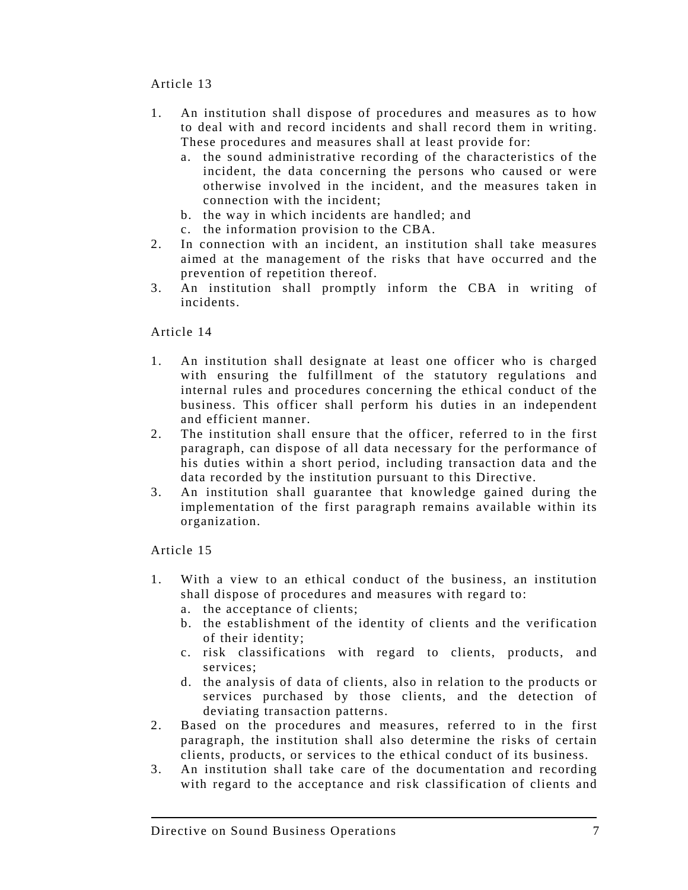Article 13

- 1. An institution shall dispose of procedures and measures as to how to deal with and record incidents and shall record them in writing. These procedures and measures shall at least provide for:
	- a. the sound administrative recording of the characteristics of the incident, the data concerning the persons who caused or were otherwise involved in the incident, and the measures taken in connection with the incident;
	- b. the way in which incidents are handled; and
	- c. the information provision to the CBA.
- 2. In connection with an incident, an institution shall take measures aimed at the management of the risks that have occurred and the prevention of repetition thereof.
- 3. An institution shall promptly inform the CBA in writing of incidents.

# Article 14

- 1. An institution shall designate at least one officer who is charged with ensuring the fulfillment of the statutory regulations and internal rules and procedures concerning the ethical conduct of the business. This officer shall perform his duties in an independent and efficient manner.
- 2. The institution shall ensure that the officer, referred to in the first paragraph, can dispose of all data necessary for the performance of his duties within a short period, including transaction data and the data recorded by the institution pursuant to this Directive.
- 3. An institution shall guarantee that knowledge gained during the implementation of the first paragraph remains available within its organization.

- 1. With a view to an ethical conduct of the business, an institution shall dispose of procedures and measures with regard to:
	- a. the acceptance of clients;
	- b. the establishment of the identity of clients and the verification of their identity;
	- c. risk classifications with regard to clients, products, and services;
	- d. the analysis of data of clients, also in relation to the products or services purchased by those clients, and the detection of deviating transaction patterns.
- 2. Based on the procedures and measures, referred to in the first paragraph, the institution shall also determine the risks of certain clients, products, or services to the ethical conduct of its business.
- 3. An institution shall take care of the documentation and recording with regard to the acceptance and risk classification of clients and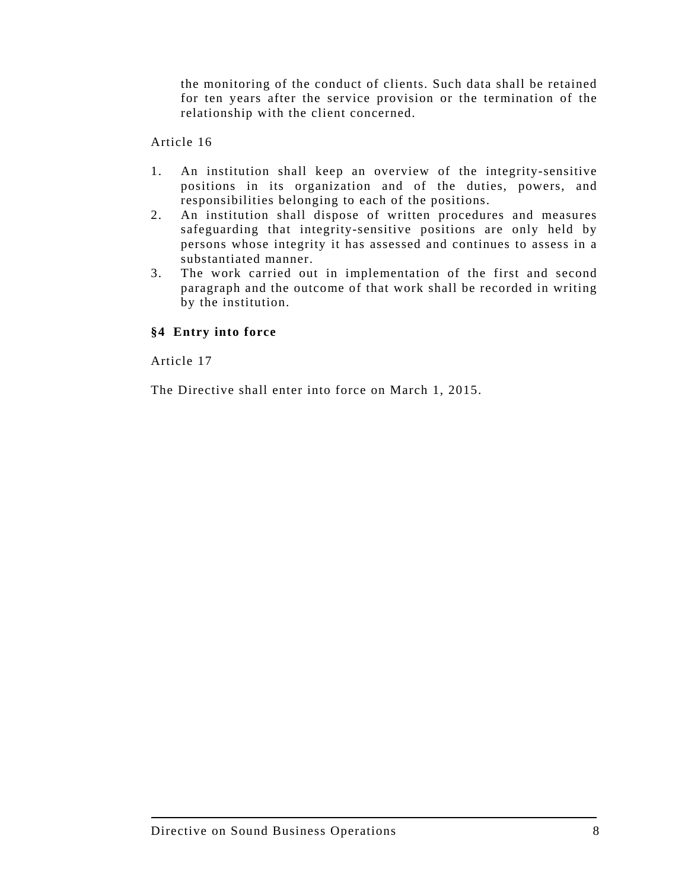the monitoring of the conduct of clients. Such data shall be retained for ten years after the service provision or the termination of the relationship with the client concerned.

# Article 16

- 1. An institution shall keep an overview of the integrity-sensitive positions in its organization and of the duties, powers, and responsibilities belonging to each of the positions.
- 2. An institution shall dispose of written procedures and measures safeguarding that integrity-sensitive positions are only held by persons whose integrity it has assessed and continues to assess in a substantiated manner.
- 3. The work carried out in implementation of the first and second paragraph and the outcome of that work shall be recorded in writing by the institution.

# **§4 Entry into force**

Article 17

The Directive shall enter into force on March 1, 2015.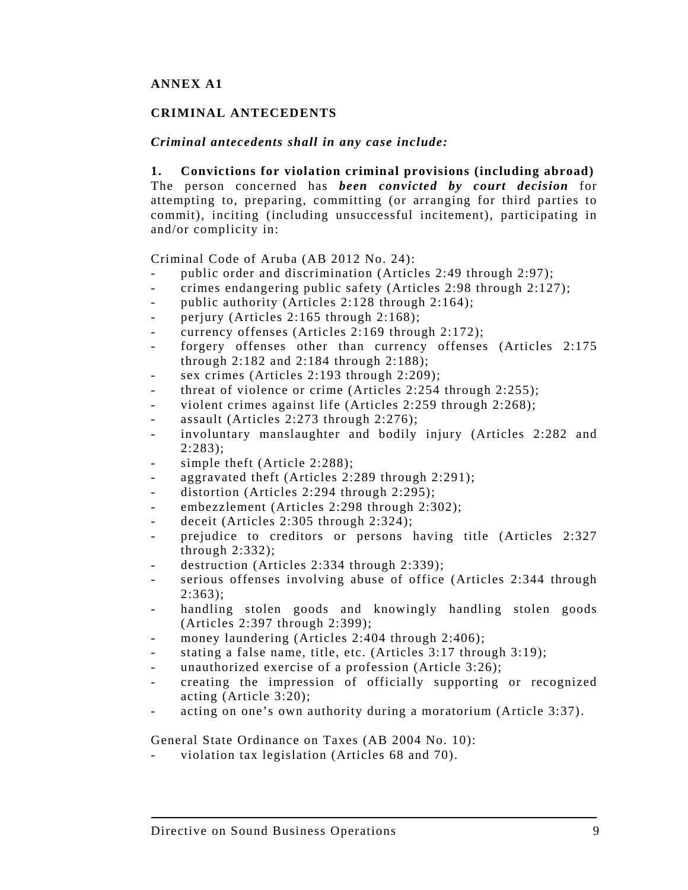# **ANNEX A1**

# **CRIMINAL ANTECEDENTS**

### *Criminal antecedents shall in any case include:*

#### **1. Convictions for violation criminal provisions (including abroad)**

The person concerned has *been convicted by court decision* for attempting to, preparing, committing (or arranging for third parties to commit), inciting (including unsuccessful incitement), participating in and/or complicity in:

Criminal Code of Aruba (AB 2012 No. 24):

- public order and discrimination (Articles 2:49 through 2:97);
- crimes endangering public safety (Articles 2:98 through 2:127);
- public authority (Articles  $2:128$  through  $2:164$ );
- perjury (Articles 2:165 through  $2:168$ );
- currency offenses (Articles 2:169 through 2:172);
- forgery offenses other than currency offenses (Articles 2:175) through 2:182 and 2:184 through 2:188);
- sex crimes (Articles  $2:193$  through  $2:209$ );
- threat of violence or crime (Articles 2:254 through 2:255);
- violent crimes against life (Articles 2:259 through 2:268);
- assault (Articles 2:273 through 2:276);
- involuntary manslaughter and bodily injury (Articles 2:282 and 2:283);
- simple theft (Article 2:288);
- aggravated theft (Articles 2:289 through 2:291);
- distortion (Articles 2:294 through  $2:295$ );
- embezzlement (Articles 2:298 through 2:302);
- deceit (Articles  $2:305$  through  $2:324$ );
- prejudice to creditors or persons having title (Articles 2:327 through 2:332);
- destruction (Articles 2:334 through  $2:339$ );
- serious offenses involving abuse of office (Articles 2:344 through  $2:363$ :
- handling stolen goods and knowingly handling stolen goods (Articles 2:397 through 2:399);
- money laundering (Articles 2:404 through  $2:406$ );
- stating a false name, title, etc. (Articles 3:17 through 3:19);
- unauthorized exercise of a profession (Article 3:26);
- creating the impression of officially supporting or recognized acting (Article 3:20);
- acting on one's own authority during a moratorium (Article 3:37).

General State Ordinance on Taxes (AB 2004 No. 10):

violation tax legislation (Articles 68 and 70).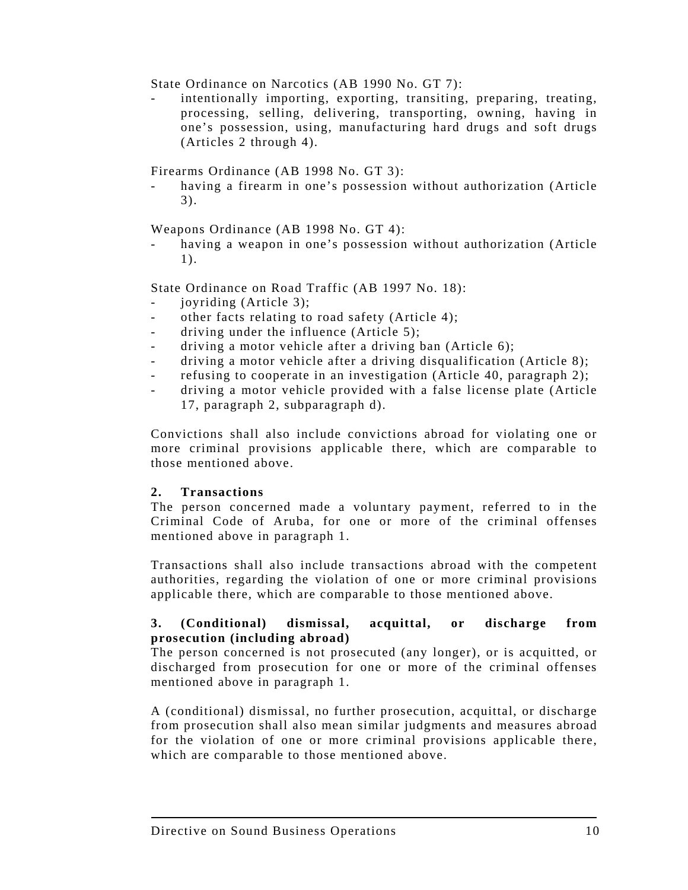State Ordinance on Narcotics (AB 1990 No. GT 7):

intentionally importing, exporting, transiting, preparing, treating, processing, selling, delivering, transporting, owning, having in one's possession, using, manufacturing hard drugs and soft drugs (Articles 2 through 4).

Firearms Ordinance (AB 1998 No. GT 3):

having a firearm in one's possession without authorization (Article 3).

Weapons Ordinance (AB 1998 No. GT 4):

having a weapon in one's possession without authorization (Article 1).

State Ordinance on Road Traffic (AB 1997 No. 18):

- joyriding (Article 3);
- other facts relating to road safety (Article 4);
- driving under the influence (Article 5);
- driving a motor vehicle after a driving ban (Article 6);
- driving a motor vehicle after a driving disqualification (Article 8);
- refusing to cooperate in an investigation (Article 40, paragraph 2);
- driving a motor vehicle provided with a false license plate (Article 17, paragraph 2, subparagraph d).

Convictions shall also include convictions abroad for violating one or more criminal provisions applicable there, which are comparable to those mentioned above.

# **2. Transactions**

The person concerned made a voluntary payment, referred to in the Criminal Code of Aruba, for one or more of the criminal offenses mentioned above in paragraph 1.

Transactions shall also include transactions abroad with the competent authorities, regarding the violation of one or more criminal provisions applicable there, which are comparable to those mentioned above.

# **3. (Conditional) dismissal, acquittal, or discharge from prosecution (including abroad)**

The person concerned is not prosecuted (any longer), or is acquitted, or discharged from prosecution for one or more of the criminal offenses mentioned above in paragraph 1.

A (conditional) dismissal, no further prosecution, acquittal, or discharge from prosecution shall also mean similar judgments and measures abroad for the violation of one or more criminal provisions applicable there, which are comparable to those mentioned above.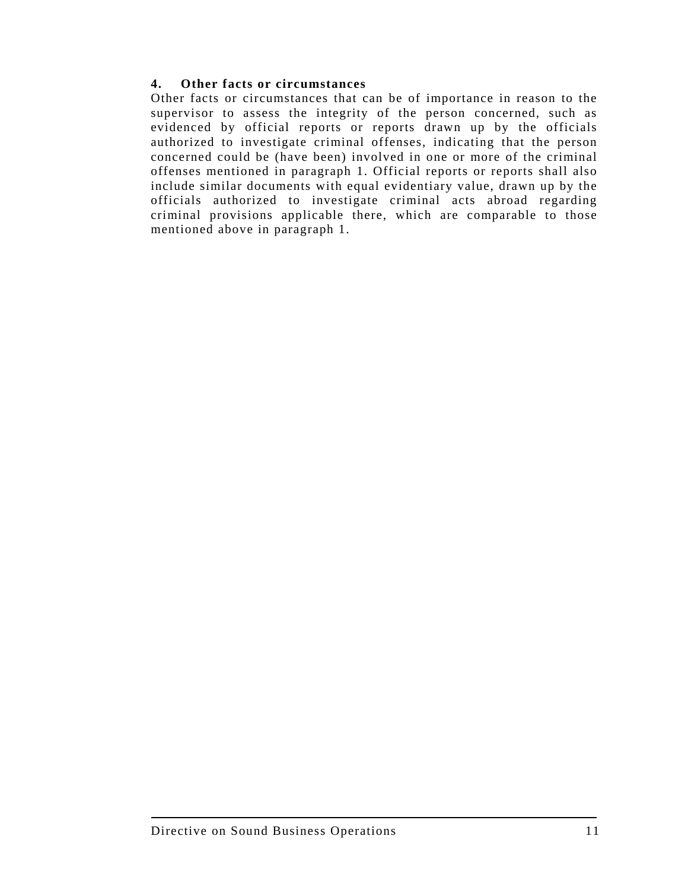# **4. Other facts or circumstances**

Other facts or circumstances that can be of importance in reason to the supervisor to assess the integrity of the person concerned, such as evidenced by official reports or reports drawn up by the officials authorized to investigate criminal offenses, indicating that the person concerned could be (have been) involved in one or more of the criminal offenses mentioned in paragraph 1. Official reports or reports shall also include similar documents with equal evidentiary value, drawn up by the officials authorized to investigate criminal acts abroad regarding criminal provisions applicable there, which are comparable to those mentioned above in paragraph 1.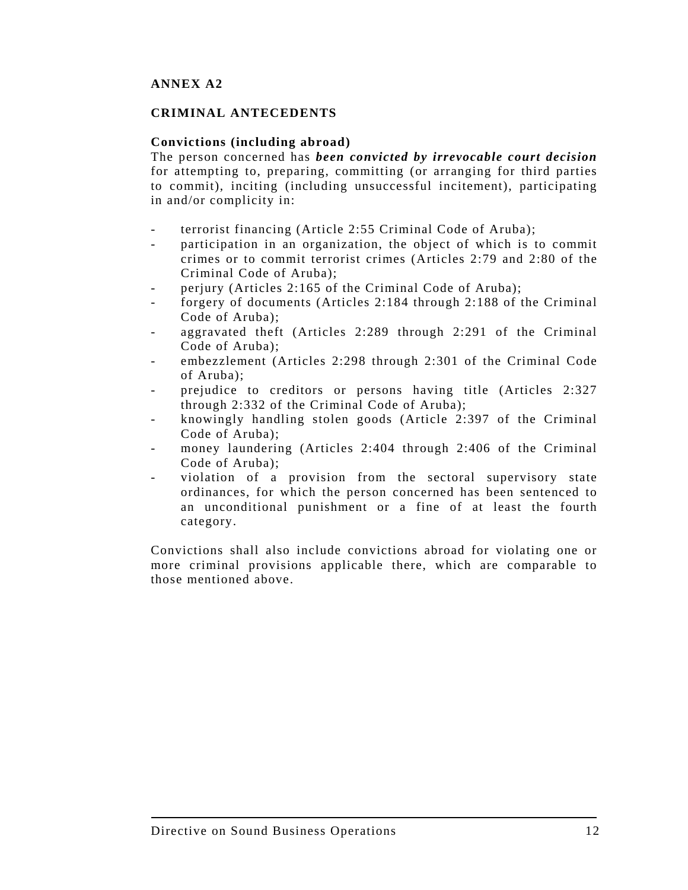# **ANNEX A2**

# **CRIMINAL ANTECEDENTS**

### **Convictions (including abroad)**

The person concerned has *been convicted by irrevocable court decision* for attempting to, preparing, committing (or arranging for third parties to commit), inciting (including unsuccessful incitement), participating in and/or complicity in:

- terrorist financing (Article 2:55 Criminal Code of Aruba);
- participation in an organization, the object of which is to commit crimes or to commit terrorist crimes (Articles 2:79 and 2:80 of the Criminal Code of Aruba);
- perjury (Articles 2:165 of the Criminal Code of Aruba);
- forgery of documents (Articles 2:184 through 2:188 of the Criminal Code of Aruba);
- aggravated theft (Articles 2:289 through 2:291 of the Criminal Code of Aruba);
- embezzlement (Articles 2:298 through 2:301 of the Criminal Code of Aruba);
- prejudice to creditors or persons having title (Articles 2:327) through 2:332 of the Criminal Code of Aruba);
- knowingly handling stolen goods (Article 2:397 of the Criminal Code of Aruba);
- money laundering (Articles 2:404 through 2:406 of the Criminal Code of Aruba);
- violation of a provision from the sectoral supervisory state ordinances, for which the person concerned has been sentenced to an unconditional punishment or a fine of at least the fourth category.

Convictions shall also include convictions abroad for violating one or more criminal provisions applicable there, which are comparable to those mentioned above.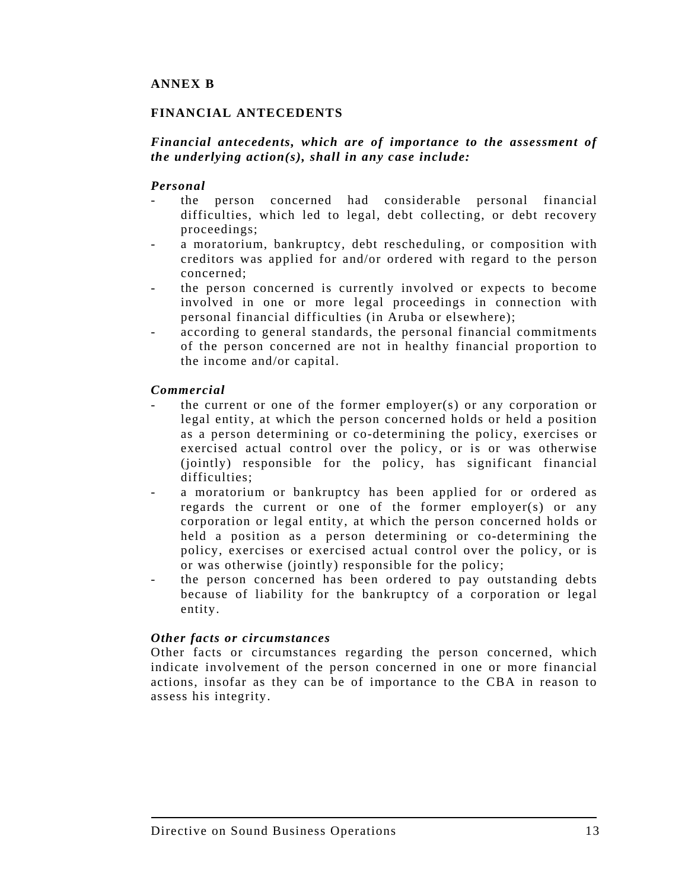# **FINANCIAL ANTECEDENTS**

# *Financial antecedents, which are of importance to the assessment of the underlying action(s), shall in any case include:*

### *Personal*

- the person concerned had considerable personal financial difficulties, which led to legal, debt collecting, or debt recovery proceedings;
- a moratorium, bankruptcy, debt rescheduling, or composition with creditors was applied for and/or ordered with regard to the person concerned;
- the person concerned is currently involved or expects to become involved in one or more legal proceedings in connection with personal financial difficulties (in Aruba or elsewhere);
- according to general standards, the personal financial commitments of the person concerned are not in healthy financial proportion to the income and/or capital.

### *Commercial*

- the current or one of the former employer(s) or any corporation or legal entity, at which the person concerned holds or held a position as a person determining or co-determining the policy, exercises or exercised actual control over the policy, or is or was otherwise (jointly) responsible for the policy, has significant financial difficulties;
- a moratorium or bankruptcy has been applied for or ordered as regards the current or one of the former employer(s) or any corporation or legal entity, at which the person concerned holds or held a position as a person determining or co-determining the policy, exercises or exercised actual control over the policy, or is or was otherwise (jointly) responsible for the policy;
- the person concerned has been ordered to pay outstanding debts because of liability for the bankruptcy of a corporation or legal entity.

#### *Other facts or circumstances*

Other facts or circumstances regarding the person concerned, which indicate involvement of the person concerned in one or more financial actions, insofar as they can be of importance to the CBA in reason to assess his integrity.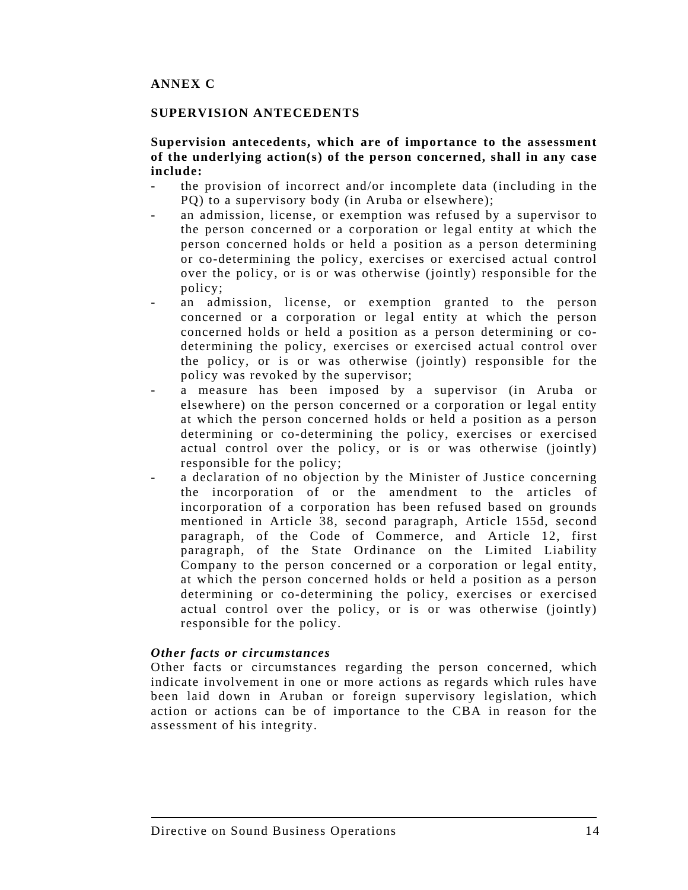#### **SUPERVISION ANTECEDENTS**

# **Supervision antecedents, which are of importance to the assessment of the underlying action(s) of the person concerned, shall in any case include:**

- the provision of incorrect and/or incomplete data (including in the PQ) to a supervisory body (in Aruba or elsewhere);
- an admission, license, or exemption was refused by a supervisor to the person concerned or a corporation or legal entity at which the person concerned holds or held a position as a person determining or co-determining the policy, exercises or exercised actual control over the policy, or is or was otherwise (jointly) responsible for the policy;
- an admission, license, or exemption granted to the person concerned or a corporation or legal entity at which the person concerned holds or held a position as a person determining or codetermining the policy, exercises or exercised actual control over the policy, or is or was otherwise (jointly) responsible for the policy was revoked by the supervisor;
- a measure has been imposed by a supervisor (in Aruba or elsewhere) on the person concerned or a corporation or legal entity at which the person concerned holds or held a position as a person determining or co-determining the policy, exercises or exercised actual control over the policy, or is or was otherwise (jointly) responsible for the policy;
- a declaration of no objection by the Minister of Justice concerning the incorporation of or the amendment to the articles of incorporation of a corporation has been refused based on grounds mentioned in Article 38, second paragraph, Article 155d, second paragraph, of the Code of Commerce, and Article 12, first paragraph, of the State Ordinance on the Limited Liability Company to the person concerned or a corporation or legal entity, at which the person concerned holds or held a position as a person determining or co-determining the policy, exercises or exercised actual control over the policy, or is or was otherwise (jointly) responsible for the policy.

#### *Other facts or circumstances*

Other facts or circumstances regarding the person concerned, which indicate involvement in one or more actions as regards which rules have been laid down in Aruban or foreign supervisory legislation, which action or actions can be of importance to the CBA in reason for the assessment of his integrity.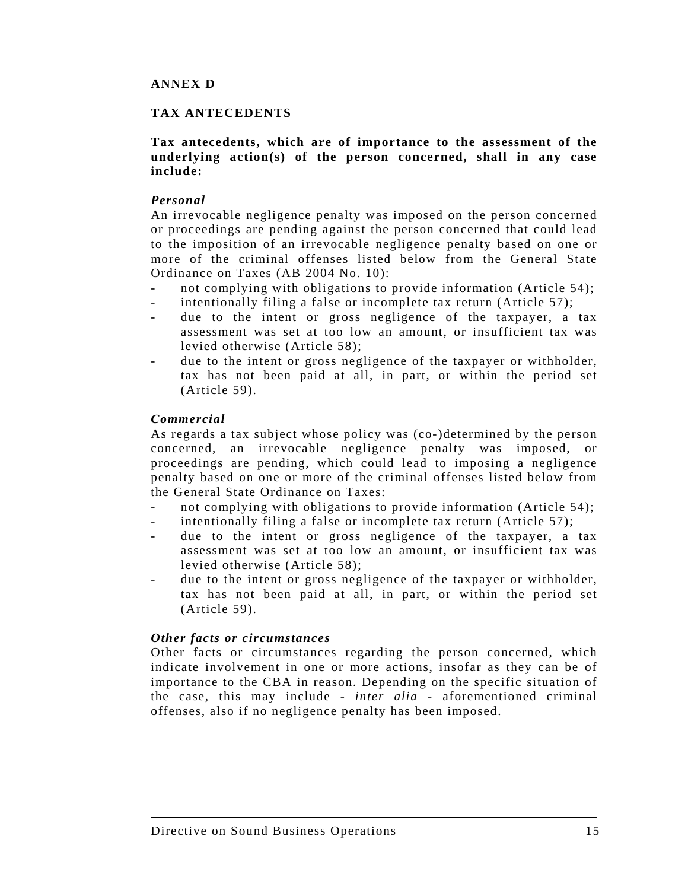# **ANNEX D**

### **TAX ANTECEDENTS**

### **Tax antecedents, which are of importance to the assessment of the underlying action(s) of the person concerned, shall in any case include:**

### *Personal*

An irrevocable negligence penalty was imposed on the person concerned or proceedings are pending against the person concerned that could lead to the imposition of an irrevocable negligence penalty based on one or more of the criminal offenses listed below from the General State Ordinance on Taxes (AB 2004 No. 10):

- not complying with obligations to provide information (Article 54);
- intentionally filing a false or incomplete tax return (Article 57);
- due to the intent or gross negligence of the taxpayer, a tax assessment was set at too low an amount, or insufficient tax was levied otherwise (Article 58);
- due to the intent or gross negligence of the taxpayer or withholder, tax has not been paid at all, in part, or within the period set (Article 59).

#### *Commercial*

As regards a tax subject whose policy was (co-)determined by the person concerned, an irrevocable negligence penalty was imposed, or proceedings are pending, which could lead to imposing a negligence penalty based on one or more of the criminal offenses listed below from the General State Ordinance on Taxes:

- not complying with obligations to provide information (Article 54);
- intentionally filing a false or incomplete tax return (Article 57);
- due to the intent or gross negligence of the taxpayer, a tax assessment was set at too low an amount, or insufficient tax was levied otherwise (Article 58);
- due to the intent or gross negligence of the taxpayer or withholder, tax has not been paid at all, in part, or within the period set (Article 59).

#### *Other facts or circumstances*

Other facts or circumstances regarding the person concerned, which indicate involvement in one or more actions, insofar as they can be of importance to the CBA in reason. Depending on the specific situation of the case, this may include - *inter alia* - aforementioned criminal offenses, also if no negligence penalty has been imposed.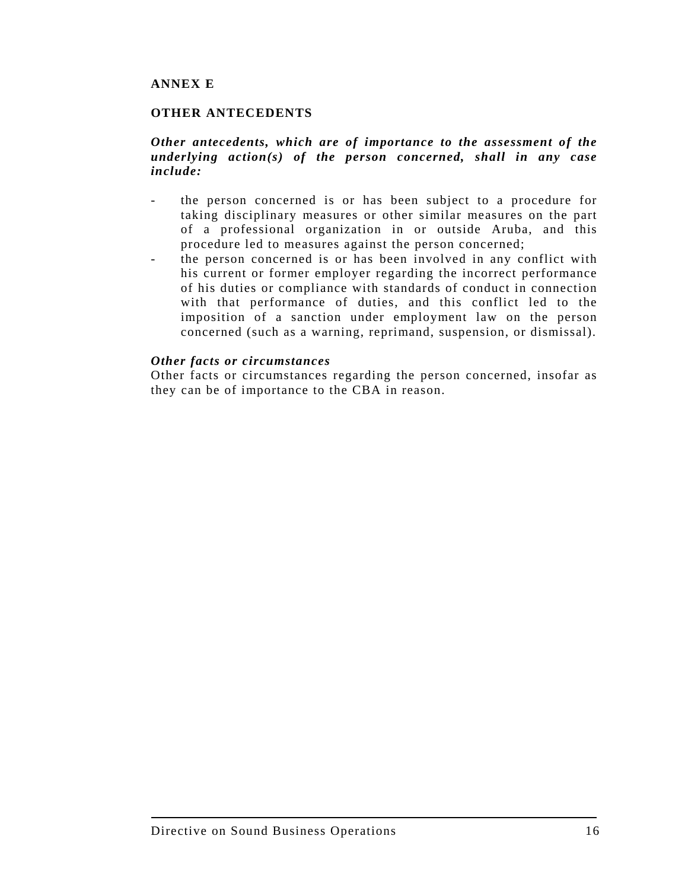# **ANNEX E**

### **OTHER ANTECEDENTS**

### *Other antecedents, which are of importance to the assessment of the underlying action(s) of the person concerned, shall in any case include:*

- the person concerned is or has been subject to a procedure for taking disciplinary measures or other similar measures on the part of a professional organization in or outside Aruba, and this procedure led to measures against the person concerned;
	- the person concerned is or has been involved in any conflict with his current or former employer regarding the incorrect performance of his duties or compliance with standards of conduct in connection with that performance of duties, and this conflict led to the imposition of a sanction under employment law on the person concerned (such as a warning, reprimand, suspension, or dismissal).

#### *Other facts or circumstances*

Other facts or circumstances regarding the person concerned, insofar as they can be of importance to the CBA in reason.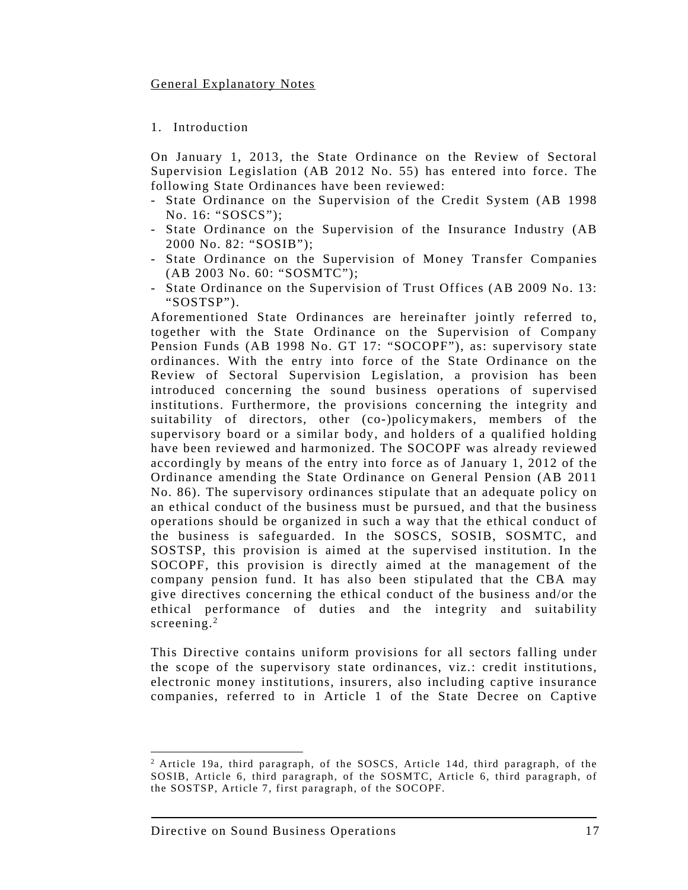### General Explanatory Notes

### 1. Introduction

On January 1, 2013, the State Ordinance on the Review of Sectoral Supervision Legislation (AB 2012 No. 55) has entered into force. The following State Ordinances have been reviewed:

- State Ordinance on the Supervision of the Credit System (AB 1998 No. 16: "SOSCS");
- State Ordinance on the Supervision of the Insurance Industry (AB 2000 No. 82: "SOSIB");
- State Ordinance on the Supervision of Money Transfer Companies (AB 2003 No. 60: "SOSMTC");
- State Ordinance on the Supervision of Trust Offices (AB 2009 No. 13: "SOSTSP").

Aforementioned State Ordinances are hereinafter jointly referred to, together with the State Ordinance on the Supervision of Company Pension Funds (AB 1998 No. GT 17: "SOCOPF"), as: supervisory state ordinances. With the entry into force of the State Ordinance on the Review of Sectoral Supervision Legislation, a provision has been introduced concerning the sound business operations of supervised institutions. Furthermore, the provisions concerning the integrity and suitability of directors, other (co-)policymakers, members of the supervisory board or a similar body, and holders of a qualified holding have been reviewed and harmonized. The SOCOPF was already reviewed accordingly by means of the entry into force as of January 1, 2012 of the Ordinance amending the State Ordinance on General Pension (AB 2011 No. 86). The supervisory ordinances stipulate that an adequate policy on an ethical conduct of the business must be pursued, and that the business operations should be organized in such a way that the ethical conduct of the business is safeguarded. In the SOSCS, SOSIB, SOSMTC, and SOSTSP, this provision is aimed at the supervised institution. In the SOCOPF, this provision is directly aimed at the management of the company pension fund. It has also been stipulated that the CBA may give directives concerning the ethical conduct of the business and/or the ethical performance of duties and the integrity and suitability screening.<sup>2</sup>

This Directive contains uniform provisions for all sectors falling under the scope of the supervisory state ordinances, viz.: credit institutions, electronic money institutions, insurers, also including captive insurance companies, referred to in Article 1 of the State Decree on Captive

 $\overline{a}$ 

<sup>2</sup> Article 19a, third paragraph, of the SOSCS, Article 14d, third paragraph, of the SOSIB, Article 6, third paragraph, of the SOSMTC, Article 6, third paragraph, of the SOSTSP, Article 7, first paragraph, of the SOCOPF.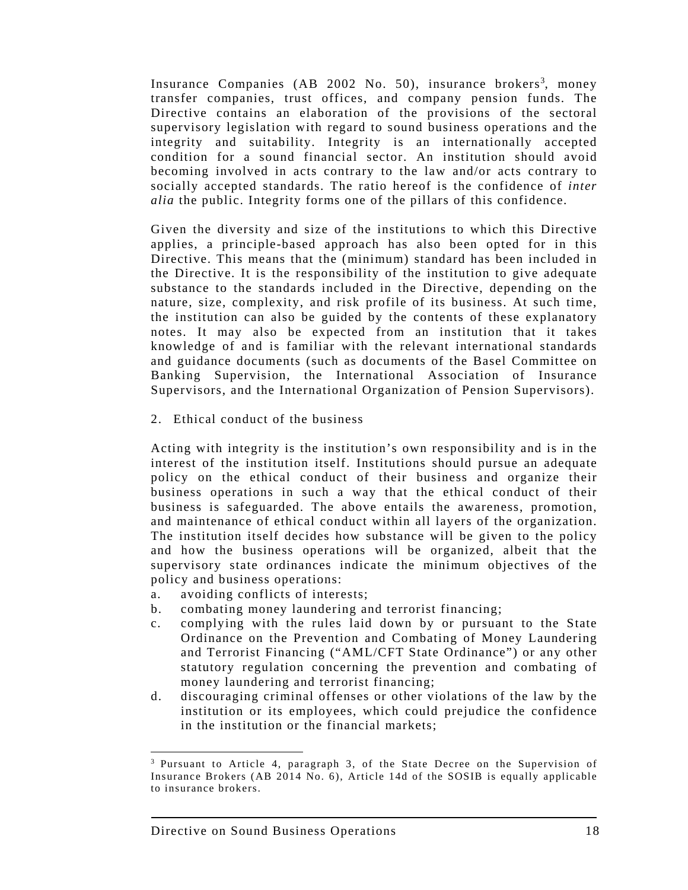Insurance Companies (AB 2002 No. 50), insurance brokers<sup>3</sup>, money transfer companies, trust offices, and company pension funds. The Directive contains an elaboration of the provisions of the sectoral supervisory legislation with regard to sound business operations and the integrity and suitability. Integrity is an internationally accepted condition for a sound financial sector. An institution should avoid becoming involved in acts contrary to the law and/or acts contrary to socially accepted standards. The ratio hereof is the confidence of *inter alia* the public. Integrity forms one of the pillars of this confidence.

Given the diversity and size of the institutions to which this Directive applies, a principle-based approach has also been opted for in this Directive. This means that the (minimum) standard has been included in the Directive. It is the responsibility of the institution to give adequate substance to the standards included in the Directive, depending on the nature, size, complexity, and risk profile of its business. At such time, the institution can also be guided by the contents of these explanatory notes. It may also be expected from an institution that it takes knowledge of and is familiar with the relevant international standards and guidance documents (such as documents of the Basel Committee on Banking Supervision, the International Association of Insurance Supervisors, and the International Organization of Pension Supervisors).

2. Ethical conduct of the business

Acting with integrity is the institution's own responsibility and is in the interest of the institution itself. Institutions should pursue an adequate policy on the ethical conduct of their business and organize their business operations in such a way that the ethical conduct of their business is safeguarded. The above entails the awareness, promotion, and maintenance of ethical conduct within all layers of the organization. The institution itself decides how substance will be given to the policy and how the business operations will be organized, albeit that the supervisory state ordinances indicate the minimum objectives of the policy and business operations:

- a. avoiding conflicts of interests;
- b. combating money laundering and terrorist financing;
- c. complying with the rules laid down by or pursuant to the State Ordinance on the Prevention and Combating of Money Laundering and Terrorist Financing ("AML/CFT State Ordinance") or any other statutory regulation concerning the prevention and combating of money laundering and terrorist financing;
- d. discouraging criminal offenses or other violations of the law by the institution or its employees, which could prejudice the confidence in the institution or the financial markets;

 $\overline{a}$ 

<sup>3</sup> Pursuant to Article 4, paragraph 3, of the State Decree on the Supervision of Insurance Brokers (AB 2014 No. 6), Article 14d of the SOSIB is equally applicable to insurance brokers.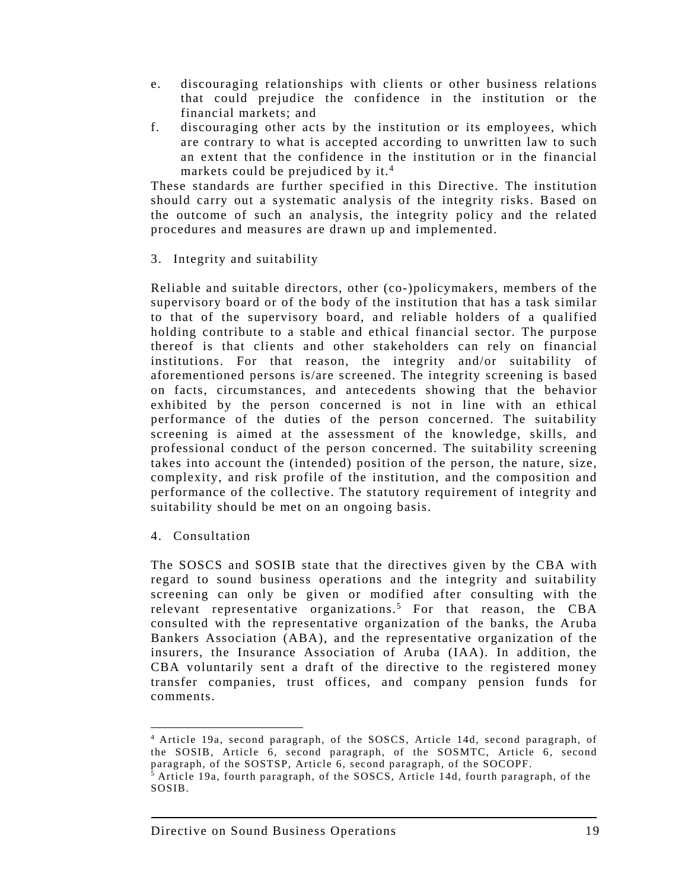- e. discouraging relationships with clients or other business relations that could prejudice the confidence in the institution or the financial markets; and
- f. discouraging other acts by the institution or its employees, which are contrary to what is accepted according to unwritten law to such an extent that the confidence in the institution or in the financial markets could be prejudiced by it.<sup>4</sup>

These standards are further specified in this Directive. The institution should carry out a systematic analysis of the integrity risks. Based on the outcome of such an analysis, the integrity policy and the related procedures and measures are drawn up and implemented.

3. Integrity and suitability

Reliable and suitable directors, other (co-)policymakers, members of the supervisory board or of the body of the institution that has a task similar to that of the supervisory board, and reliable holders of a qualified holding contribute to a stable and ethical financial sector. The purpose thereof is that clients and other stakeholders can rely on financial institutions. For that reason, the integrity and/or suitability of aforementioned persons is/are screened. The integrity screening is based on facts, circumstances, and antecedents showing that the behavior exhibited by the person concerned is not in line with an ethical performance of the duties of the person concerned. The suitability screening is aimed at the assessment of the knowledge, skills, and professional conduct of the person concerned. The suitability screening takes into account the (intended) position of the person, the nature, size, complexity, and risk profile of the institution, and the composition and performance of the collective. The statutory requirement of integrity and suitability should be met on an ongoing basis.

4. Consultation

 $\overline{\phantom{a}}$ 

The SOSCS and SOSIB state that the directives given by the CBA with regard to sound business operations and the integrity and suitability screening can only be given or modified after consulting with the relevant representative organizations.<sup>5</sup> For that reason, the CBA consulted with the representative organization of the banks, the Aruba Bankers Association (ABA), and the representative organization of the insurers, the Insurance Association of Aruba (IAA). In addition, the CBA voluntarily sent a draft of the directive to the registered money transfer companies, trust offices, and company pension funds for comments.

<sup>4</sup> Article 19a, second paragraph, of the SOSCS, Article 14d, second paragraph, of the SOSIB, Article 6, second paragraph, of the SOSMTC, Article 6, second paragraph, of the SOSTSP, Article 6, second paragraph, of the SOCOPF.

<sup>5</sup> Article 19a, fourth paragraph, of the SOSCS, Article 14d, fourth paragraph, of the SOSIB.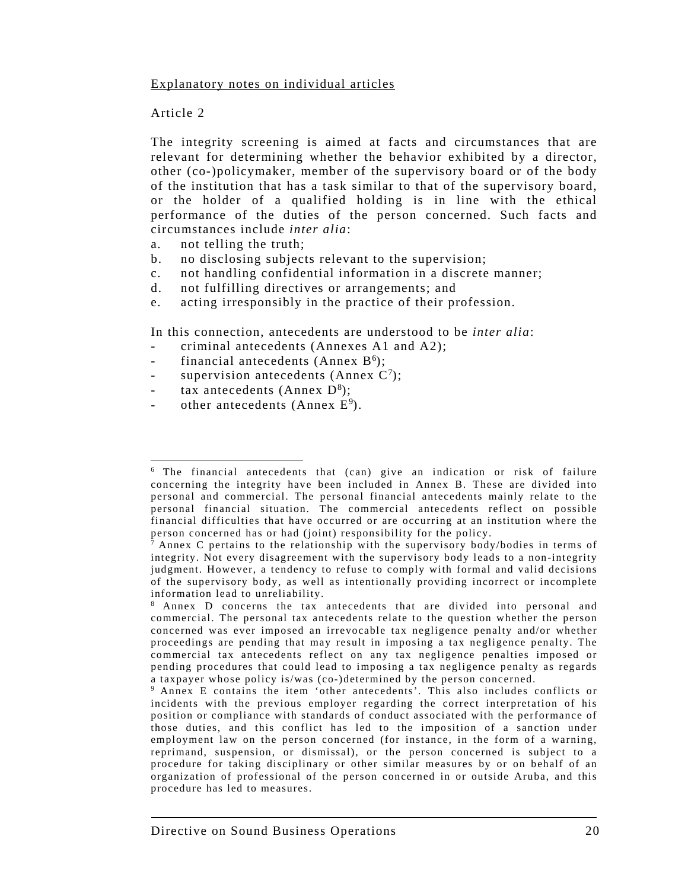### Explanatory notes on individual articles

### Article 2

 $\overline{\phantom{a}}$ 

The integrity screening is aimed at facts and circumstances that are relevant for determining whether the behavior exhibited by a director, other (co-)policymaker, member of the supervisory board or of the body of the institution that has a task similar to that of the supervisory board, or the holder of a qualified holding is in line with the ethical performance of the duties of the person concerned. Such facts and circumstances include *inter alia*:

- a. not telling the truth;
- b. no disclosing subjects relevant to the supervision;
- c. not handling confidential information in a discrete manner;
- d. not fulfilling directives or arrangements; and
- e. acting irresponsibly in the practice of their profession.

In this connection, antecedents are understood to be *inter alia*:

- criminal antecedents (Annexes A1 and A2);
- financial antecedents (Annex  $B<sup>6</sup>$ );
- supervision antecedents (Annex  $C^7$ );
- tax antecedents (Annex  $D^8$ );
- other antecedents (Annex  $E^9$ ).

<sup>6</sup> The financial antecedents that (can) give an indication or risk of failure concerning the integrity have been included in Annex B. These are divided into personal and commercial. The personal financial antecedents mainly relate to the personal financial situation. The commercial antecedents reflect on possible financial difficulties that have occurred or are occurring at an institution where the person concerned has or had (joint) responsibility for the policy.

<sup>7</sup> Annex C pertains to the relationship with the supervisory body/bodies in terms of integrity. Not every disagreement with the supervisory body leads to a non-integrity judgment. However, a tendency to refuse to comply with formal and valid decisions of the supervisory body, as well as intentionally providing incorrect or incomplete information lead to unreliability.

<sup>8</sup> Annex D concerns the tax antecedents that are divided into personal and commercial. The personal tax antecedents relate to the question whether the person concerned was ever imposed an irrevocable tax negligence penalty and/or whether proceedings are pending that may result in imposing a tax negligence penalty. The commercial tax antecedents reflect on any tax negligence penalties imposed or pending procedures that could lead to imposing a tax negligence penalty as regards a taxpayer whose policy is/was (co-)determined by the person concerned.

<sup>9</sup> Annex E contains the item 'other antecedents'. This also includes conflicts or incidents with the previous employer regarding the correct interpretation of his position or compliance with standards of conduct associated with the performance of those duties, and this conflict has led to the imposition of a sanction under employment law on the person concerned (for instance, in the form of a warning, reprimand, suspension, or dismissal), or the person concerned is subject to a procedure for taking disciplinary or other similar measures by or on behalf of an organization of professional of the person concerned in or outside Aruba, and this procedure has led to measures.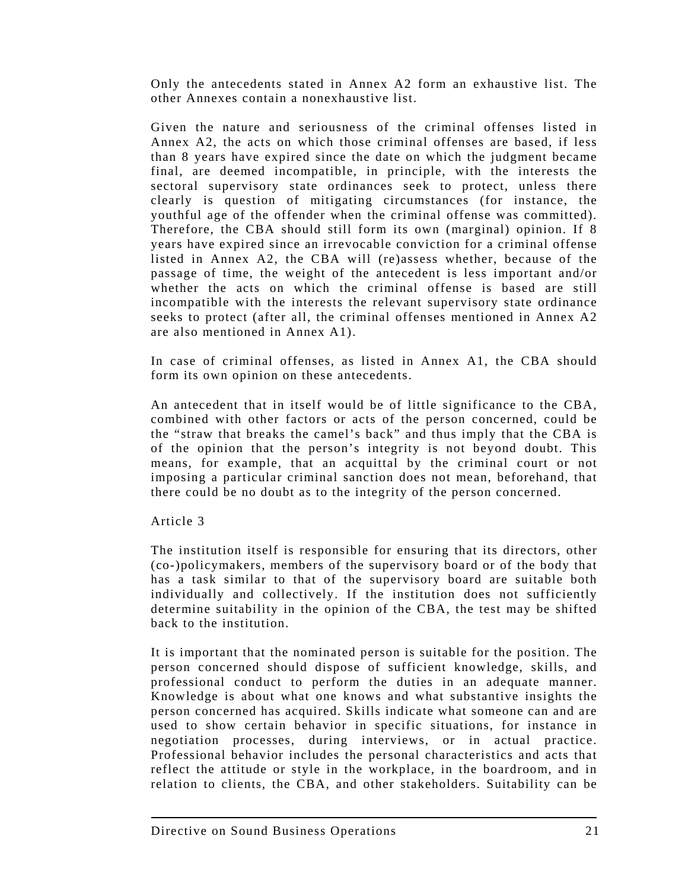Only the antecedents stated in Annex A2 form an exhaustive list. The other Annexes contain a nonexhaustive list.

Given the nature and seriousness of the criminal offenses listed in Annex A2, the acts on which those criminal offenses are based, if less than 8 years have expired since the date on which the judgment became final, are deemed incompatible, in principle, with the interests the sectoral supervisory state ordinances seek to protect, unless there clearly is question of mitigating circumstances (for instance, the youthful age of the offender when the criminal offense was committed). Therefore, the CBA should still form its own (marginal) opinion. If 8 years have expired since an irrevocable conviction for a criminal offense listed in Annex A2, the CBA will (re)assess whether, because of the passage of time, the weight of the antecedent is less important and/or whether the acts on which the criminal offense is based are still incompatible with the interests the relevant supervisory state ordinance seeks to protect (after all, the criminal offenses mentioned in Annex A2 are also mentioned in Annex A1).

In case of criminal offenses, as listed in Annex A1, the CBA should form its own opinion on these antecedents.

An antecedent that in itself would be of little significance to the CBA, combined with other factors or acts of the person concerned, could be the "straw that breaks the camel's back" and thus imply that the CBA is of the opinion that the person's integrity is not beyond doubt. This means, for example, that an acquittal by the criminal court or not imposing a particular criminal sanction does not mean, beforehand, that there could be no doubt as to the integrity of the person concerned.

# Article 3

The institution itself is responsible for ensuring that its directors, other (co-)policymakers, members of the supervisory board or of the body that has a task similar to that of the supervisory board are suitable both individually and collectively. If the institution does not sufficiently determine suitability in the opinion of the CBA, the test may be shifted back to the institution.

It is important that the nominated person is suitable for the position. The person concerned should dispose of sufficient knowledge, skills, and professional conduct to perform the duties in an adequate manner. Knowledge is about what one knows and what substantive insights the person concerned has acquired. Skills indicate what someone can and are used to show certain behavior in specific situations, for instance in negotiation processes, during interviews, or in actual practice. Professional behavior includes the personal characteristics and acts that reflect the attitude or style in the workplace, in the boardroom, and in relation to clients, the CBA, and other stakeholders. Suitability can be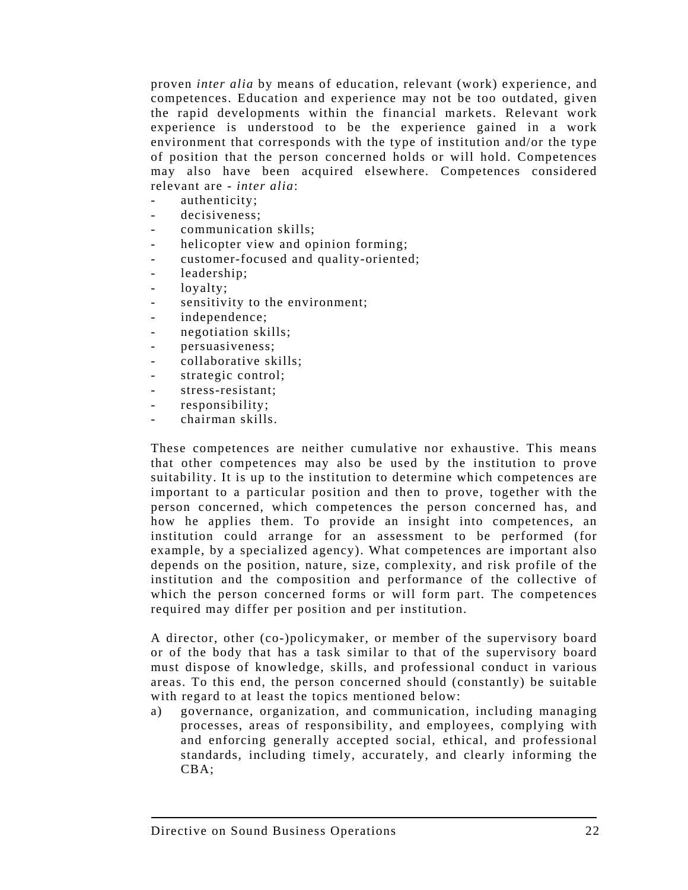proven *inter alia* by means of education, relevant (work) experience, and competences. Education and experience may not be too outdated, given the rapid developments within the financial markets. Relevant work experience is understood to be the experience gained in a work environment that corresponds with the type of institution and/or the type of position that the person concerned holds or will hold. Competences may also have been acquired elsewhere. Competences considered relevant are - *inter alia*:

- authenticity;
- decisiveness:
- communication skills;
- helicopter view and opinion forming;
- customer-focused and quality-oriented;
- leadership;
- loyalty;
- sensitivity to the environment;
- independence;
- negotiation skills;
- persuasiveness;
- collaborative skills:
- strategic control;
- stress-resistant;
- responsibility;
- chairman skills.

These competences are neither cumulative nor exhaustive. This means that other competences may also be used by the institution to prove suitability. It is up to the institution to determine which competences are important to a particular position and then to prove, together with the person concerned, which competences the person concerned has, and how he applies them. To provide an insight into competences, an institution could arrange for an assessment to be performed (for example, by a specialized agency). What competences are important also depends on the position, nature, size, complexity, and risk profile of the institution and the composition and performance of the collective of which the person concerned forms or will form part. The competences required may differ per position and per institution.

A director, other (co-)policymaker, or member of the supervisory board or of the body that has a task similar to that of the supervisory board must dispose of knowledge, skills, and professional conduct in various areas. To this end, the person concerned should (constantly) be suitable with regard to at least the topics mentioned below:

a) governance, organization, and communication, including managing processes, areas of responsibility, and employees, complying with and enforcing generally accepted social, ethical, and professional standards, including timely, accurately, and clearly informing the CBA;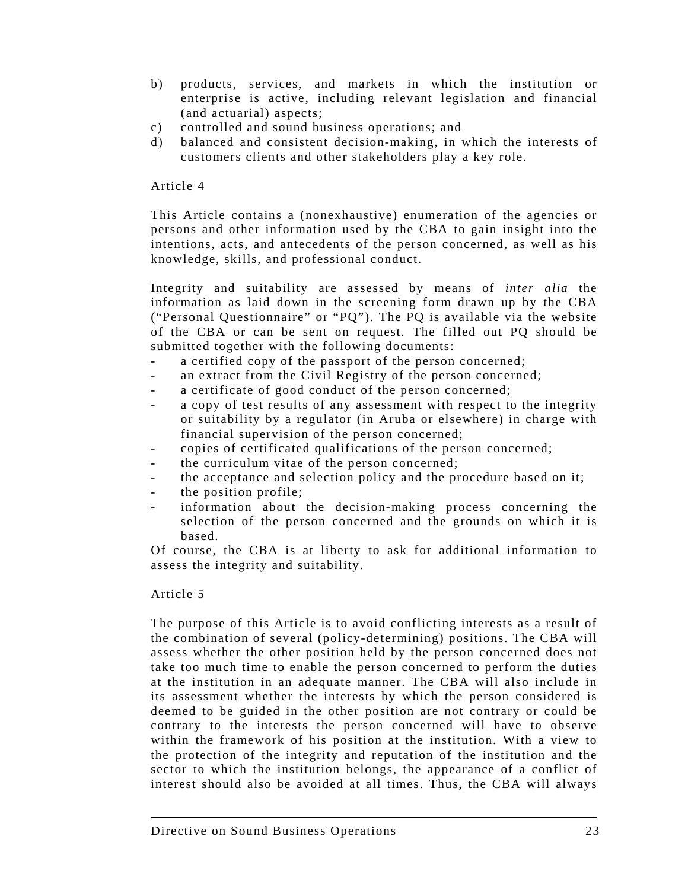- b) products, services, and markets in which the institution or enterprise is active, including relevant legislation and financial (and actuarial) aspects;
- c) controlled and sound business operations; and
- d) balanced and consistent decision-making, in which the interests of customers clients and other stakeholders play a key role.

### Article 4

This Article contains a (nonexhaustive) enumeration of the agencies or persons and other information used by the CBA to gain insight into the intentions, acts, and antecedents of the person concerned, as well as his knowledge, skills, and professional conduct.

Integrity and suitability are assessed by means of *inter alia* the information as laid down in the screening form drawn up by the CBA ("Personal Questionnaire" or "PQ"). The PQ is available via the website of the CBA or can be sent on request. The filled out PQ should be submitted together with the following documents:

- a certified copy of the passport of the person concerned;
- an extract from the Civil Registry of the person concerned;
- a certificate of good conduct of the person concerned;
- a copy of test results of any assessment with respect to the integrity or suitability by a regulator (in Aruba or elsewhere) in charge with financial supervision of the person concerned;
- copies of certificated qualifications of the person concerned;
- the curriculum vitae of the person concerned;
- the acceptance and selection policy and the procedure based on it;
- the position profile:
- information about the decision-making process concerning the selection of the person concerned and the grounds on which it is based.

Of course, the CBA is at liberty to ask for additional information to assess the integrity and suitability.

#### Article 5

The purpose of this Article is to avoid conflicting interests as a result of the combination of several (policy-determining) positions. The CBA will assess whether the other position held by the person concerned does not take too much time to enable the person concerned to perform the duties at the institution in an adequate manner. The CBA will also include in its assessment whether the interests by which the person considered is deemed to be guided in the other position are not contrary or could be contrary to the interests the person concerned will have to observe within the framework of his position at the institution. With a view to the protection of the integrity and reputation of the institution and the sector to which the institution belongs, the appearance of a conflict of interest should also be avoided at all times. Thus, the CBA will always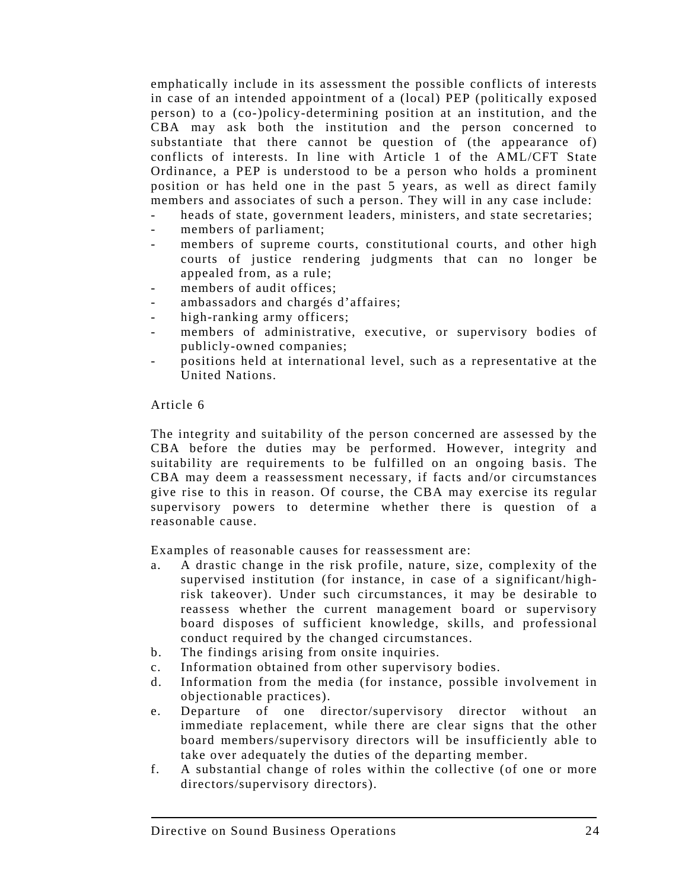emphatically include in its assessment the possible conflicts of interests in case of an intended appointment of a (local) PEP (politically exposed person) to a (co-)policy-determining position at an institution, and the CBA may ask both the institution and the person concerned to substantiate that there cannot be question of (the appearance of) conflicts of interests. In line with Article 1 of the AML/CFT State Ordinance, a PEP is understood to be a person who holds a prominent position or has held one in the past 5 years, as well as direct family members and associates of such a person. They will in any case include:

- heads of state, government leaders, ministers, and state secretaries;
- members of parliament;
- members of supreme courts, constitutional courts, and other high courts of justice rendering judgments that can no longer be appealed from, as a rule;
- members of audit offices:
- ambassadors and chargés d'affaires;
- high-ranking army officers;
- members of administrative, executive, or supervisory bodies of publicly-owned companies;
- positions held at international level, such as a representative at the United Nations.

#### Article 6

The integrity and suitability of the person concerned are assessed by the CBA before the duties may be performed. However, integrity and suitability are requirements to be fulfilled on an ongoing basis. The CBA may deem a reassessment necessary, if facts and/or circumstances give rise to this in reason. Of course, the CBA may exercise its regular supervisory powers to determine whether there is question of a reasonable cause.

Examples of reasonable causes for reassessment are:

- a. A drastic change in the risk profile, nature, size, complexity of the supervised institution (for instance, in case of a significant/highrisk takeover). Under such circumstances, it may be desirable to reassess whether the current management board or supervisory board disposes of sufficient knowledge, skills, and professional conduct required by the changed circumstances.
- b. The findings arising from onsite inquiries.
- c. Information obtained from other supervisory bodies.
- d. Information from the media (for instance, possible involvement in objectionable practices).
- e. Departure of one director/supervisory director without an immediate replacement, while there are clear signs that the other board members/supervisory directors will be insufficiently able to take over adequately the duties of the departing member.
- f. A substantial change of roles within the collective (of one or more directors/supervisory directors).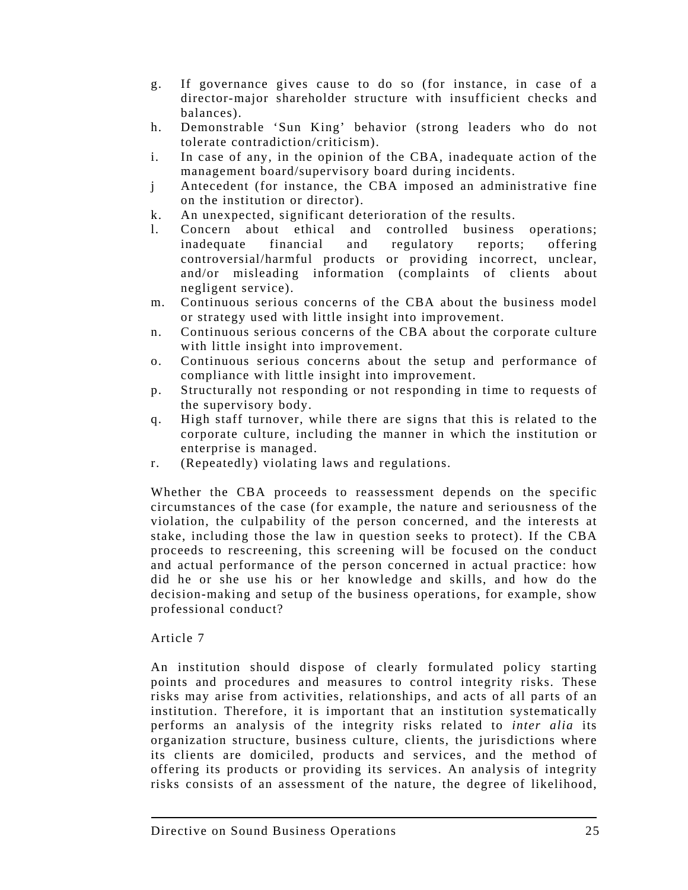- g. If governance gives cause to do so (for instance, in case of a director-major shareholder structure with insufficient checks and balances).
- h. Demonstrable 'Sun King' behavior (strong leaders who do not tolerate contradiction/criticism).
- i. In case of any, in the opinion of the CBA, inadequate action of the management board/supervisory board during incidents.
- j Antecedent (for instance, the CBA imposed an administrative fine on the institution or director).
- k. An unexpected, significant deterioration of the results.
- l. Concern about ethical and controlled business operations; inadequate financial and regulatory reports; offering controversial/harmful products or providing incorrect, unclear, and/or misleading information (complaints of clients about negligent service).
- m. Continuous serious concerns of the CBA about the business model or strategy used with little insight into improvement.
- n. Continuous serious concerns of the CBA about the corporate culture with little insight into improvement.
- o. Continuous serious concerns about the setup and performance of compliance with little insight into improvement.
- p. Structurally not responding or not responding in time to requests of the supervisory body.
- q. High staff turnover, while there are signs that this is related to the corporate culture, including the manner in which the institution or enterprise is managed.
- r. (Repeatedly) violating laws and regulations.

Whether the CBA proceeds to reassessment depends on the specific circumstances of the case (for example, the nature and seriousness of the violation, the culpability of the person concerned, and the interests at stake, including those the law in question seeks to protect). If the CBA proceeds to rescreening, this screening will be focused on the conduct and actual performance of the person concerned in actual practice: how did he or she use his or her knowledge and skills, and how do the decision-making and setup of the business operations, for example, show professional conduct?

# Article 7

An institution should dispose of clearly formulated policy starting points and procedures and measures to control integrity risks. These risks may arise from activities, relationships, and acts of all parts of an institution. Therefore, it is important that an institution systematically performs an analysis of the integrity risks related to *inter alia* its organization structure, business culture, clients, the jurisdictions where its clients are domiciled, products and services, and the method of offering its products or providing its services. An analysis of integrity risks consists of an assessment of the nature, the degree of likelihood,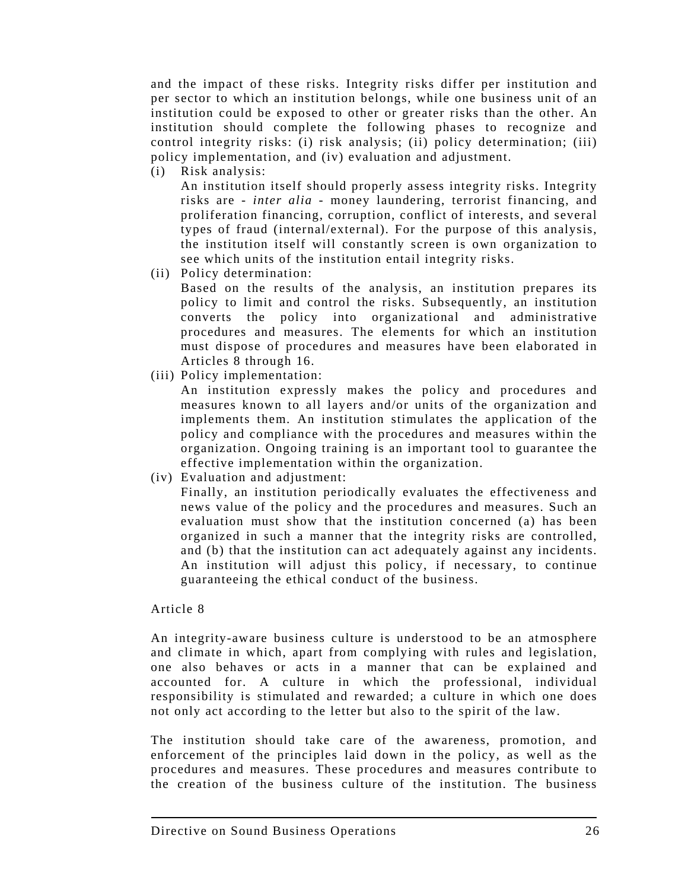and the impact of these risks. Integrity risks differ per institution and per sector to which an institution belongs, while one business unit of an institution could be exposed to other or greater risks than the other. An institution should complete the following phases to recognize and control integrity risks: (i) risk analysis; (ii) policy determination; (iii) policy implementation, and (iv) evaluation and adjustment.

(i) Risk analysis:

 An institution itself should properly assess integrity risks. Integrity risks are - *inter alia* - money laundering, terrorist financing, and proliferation financing, corruption, conflict of interests, and several types of fraud (internal/external). For the purpose of this analysis, the institution itself will constantly screen is own organization to see which units of the institution entail integrity risks.

(ii) Policy determination:

 Based on the results of the analysis, an institution prepares its policy to limit and control the risks. Subsequently, an institution converts the policy into organizational and administrative procedures and measures. The elements for which an institution must dispose of procedures and measures have been elaborated in Articles 8 through 16.

(iii) Policy implementation:

 An institution expressly makes the policy and procedures and measures known to all layers and/or units of the organization and implements them. An institution stimulates the application of the policy and compliance with the procedures and measures within the organization. Ongoing training is an important tool to guarantee the effective implementation within the organization.

(iv) Evaluation and adjustment:

 Finally, an institution periodically evaluates the effectiveness and news value of the policy and the procedures and measures. Such an evaluation must show that the institution concerned (a) has been organized in such a manner that the integrity risks are controlled, and (b) that the institution can act adequately against any incidents. An institution will adjust this policy, if necessary, to continue guaranteeing the ethical conduct of the business.

#### Article 8

An integrity-aware business culture is understood to be an atmosphere and climate in which, apart from complying with rules and legislation, one also behaves or acts in a manner that can be explained and accounted for. A culture in which the professional, individual responsibility is stimulated and rewarded; a culture in which one does not only act according to the letter but also to the spirit of the law.

The institution should take care of the awareness, promotion, and enforcement of the principles laid down in the policy, as well as the procedures and measures. These procedures and measures contribute to the creation of the business culture of the institution. The business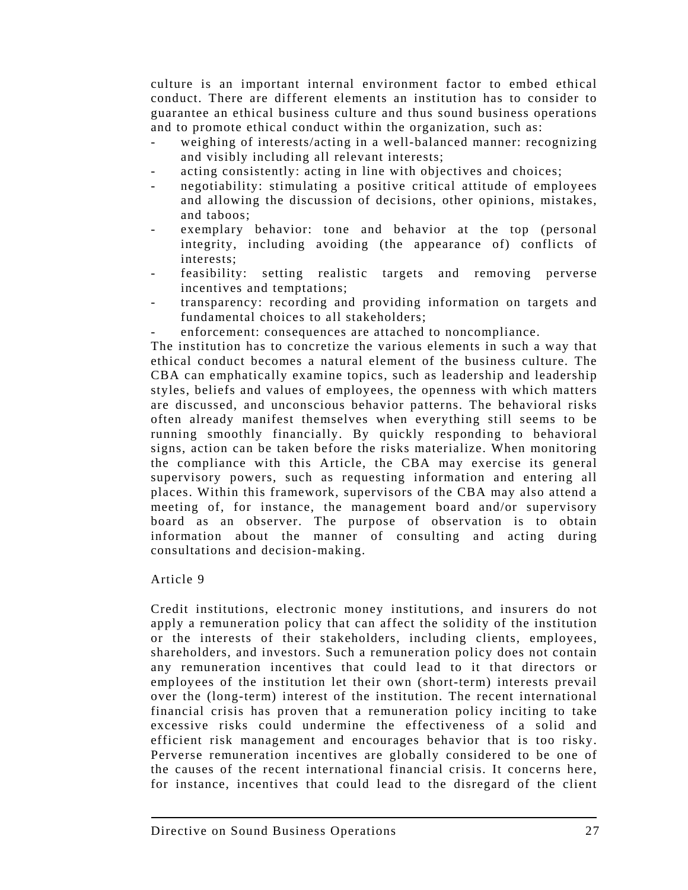culture is an important internal environment factor to embed ethical conduct. There are different elements an institution has to consider to guarantee an ethical business culture and thus sound business operations and to promote ethical conduct within the organization, such as:

- weighing of interests/acting in a well-balanced manner: recognizing and visibly including all relevant interests;
- acting consistently: acting in line with objectives and choices;
- negotiability: stimulating a positive critical attitude of employees and allowing the discussion of decisions, other opinions, mistakes, and taboos;
- exemplary behavior: tone and behavior at the top (personal integrity, including avoiding (the appearance of) conflicts of interests;
- feasibility: setting realistic targets and removing perverse incentives and temptations;
- transparency: recording and providing information on targets and fundamental choices to all stakeholders;
- enforcement: consequences are attached to noncompliance.

The institution has to concretize the various elements in such a way that ethical conduct becomes a natural element of the business culture. The CBA can emphatically examine topics, such as leadership and leadership styles, beliefs and values of employees, the openness with which matters are discussed, and unconscious behavior patterns. The behavioral risks often already manifest themselves when everything still seems to be running smoothly financially. By quickly responding to behavioral signs, action can be taken before the risks materialize. When monitoring the compliance with this Article, the CBA may exercise its general supervisory powers, such as requesting information and entering all places. Within this framework, supervisors of the CBA may also attend a meeting of, for instance, the management board and/or supervisory board as an observer. The purpose of observation is to obtain information about the manner of consulting and acting during consultations and decision-making.

# Article 9

Credit institutions, electronic money institutions, and insurers do not apply a remuneration policy that can affect the solidity of the institution or the interests of their stakeholders, including clients, employees, shareholders, and investors. Such a remuneration policy does not contain any remuneration incentives that could lead to it that directors or employees of the institution let their own (short-term) interests prevail over the (long-term) interest of the institution. The recent international financial crisis has proven that a remuneration policy inciting to take excessive risks could undermine the effectiveness of a solid and efficient risk management and encourages behavior that is too risky. Perverse remuneration incentives are globally considered to be one of the causes of the recent international financial crisis. It concerns here, for instance, incentives that could lead to the disregard of the client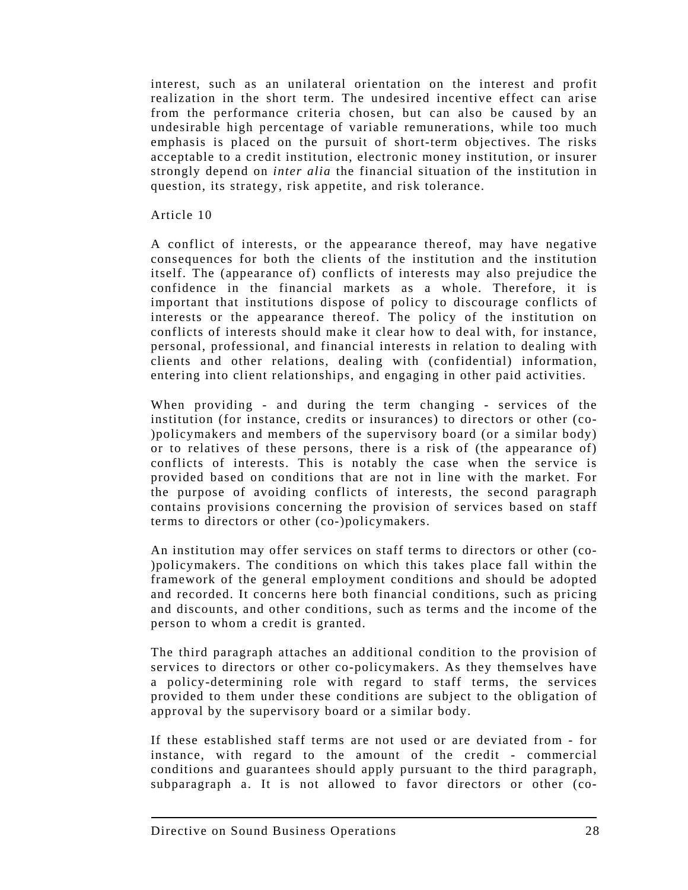interest, such as an unilateral orientation on the interest and profit realization in the short term. The undesired incentive effect can arise from the performance criteria chosen, but can also be caused by an undesirable high percentage of variable remunerations, while too much emphasis is placed on the pursuit of short-term objectives. The risks acceptable to a credit institution, electronic money institution, or insurer strongly depend on *inter alia* the financial situation of the institution in question, its strategy, risk appetite, and risk tolerance.

#### Article 10

A conflict of interests, or the appearance thereof, may have negative consequences for both the clients of the institution and the institution itself. The (appearance of) conflicts of interests may also prejudice the confidence in the financial markets as a whole. Therefore, it is important that institutions dispose of policy to discourage conflicts of interests or the appearance thereof. The policy of the institution on conflicts of interests should make it clear how to deal with, for instance, personal, professional, and financial interests in relation to dealing with clients and other relations, dealing with (confidential) information, entering into client relationships, and engaging in other paid activities.

When providing - and during the term changing - services of the institution (for instance, credits or insurances) to directors or other (co- )policymakers and members of the supervisory board (or a similar body) or to relatives of these persons, there is a risk of (the appearance of) conflicts of interests. This is notably the case when the service is provided based on conditions that are not in line with the market. For the purpose of avoiding conflicts of interests, the second paragraph contains provisions concerning the provision of services based on staff terms to directors or other (co-)policymakers.

An institution may offer services on staff terms to directors or other (co- )policymakers. The conditions on which this takes place fall within the framework of the general employment conditions and should be adopted and recorded. It concerns here both financial conditions, such as pricing and discounts, and other conditions, such as terms and the income of the person to whom a credit is granted.

The third paragraph attaches an additional condition to the provision of services to directors or other co-policymakers. As they themselves have a policy-determining role with regard to staff terms, the services provided to them under these conditions are subject to the obligation of approval by the supervisory board or a similar body.

If these established staff terms are not used or are deviated from - for instance, with regard to the amount of the credit - commercial conditions and guarantees should apply pursuant to the third paragraph, subparagraph a. It is not allowed to favor directors or other (co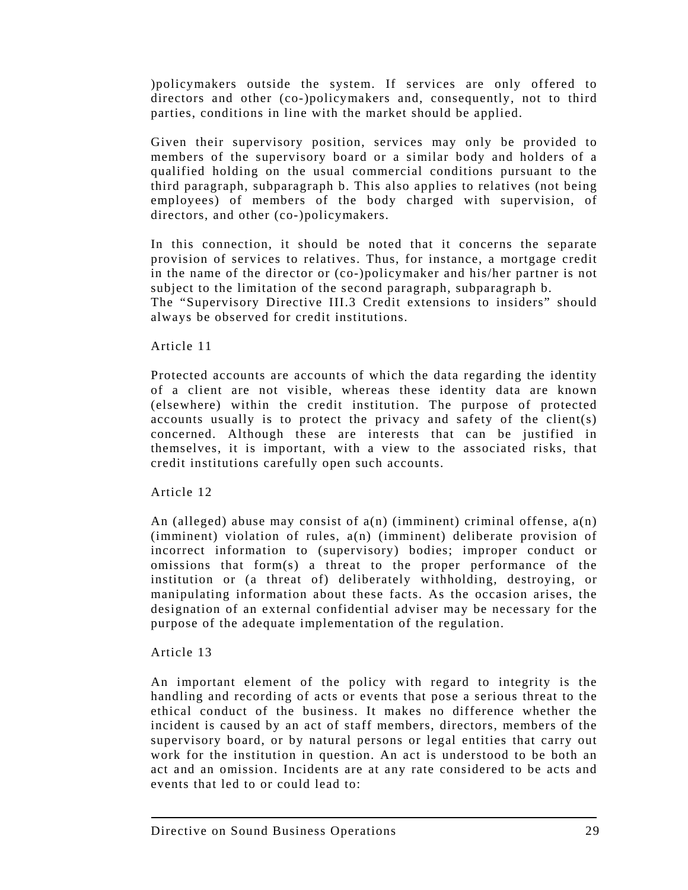)policymakers outside the system. If services are only offered to directors and other (co-)policymakers and, consequently, not to third parties, conditions in line with the market should be applied.

Given their supervisory position, services may only be provided to members of the supervisory board or a similar body and holders of a qualified holding on the usual commercial conditions pursuant to the third paragraph, subparagraph b. This also applies to relatives (not being employees) of members of the body charged with supervision, of directors, and other (co-)policymakers.

In this connection, it should be noted that it concerns the separate provision of services to relatives. Thus, for instance, a mortgage credit in the name of the director or (co-)policymaker and his/her partner is not subject to the limitation of the second paragraph, subparagraph b.

The "Supervisory Directive III.3 Credit extensions to insiders" should always be observed for credit institutions.

### Article 11

Protected accounts are accounts of which the data regarding the identity of a client are not visible, whereas these identity data are known (elsewhere) within the credit institution. The purpose of protected accounts usually is to protect the privacy and safety of the client(s) concerned. Although these are interests that can be justified in themselves, it is important, with a view to the associated risks, that credit institutions carefully open such accounts.

#### Article 12

An (alleged) abuse may consist of  $a(n)$  (imminent) criminal offense,  $a(n)$ (imminent) violation of rules, a(n) (imminent) deliberate provision of incorrect information to (supervisory) bodies; improper conduct or omissions that form(s) a threat to the proper performance of the institution or (a threat of) deliberately withholding, destroying, or manipulating information about these facts. As the occasion arises, the designation of an external confidential adviser may be necessary for the purpose of the adequate implementation of the regulation.

# Article 13

An important element of the policy with regard to integrity is the handling and recording of acts or events that pose a serious threat to the ethical conduct of the business. It makes no difference whether the incident is caused by an act of staff members, directors, members of the supervisory board, or by natural persons or legal entities that carry out work for the institution in question. An act is understood to be both an act and an omission. Incidents are at any rate considered to be acts and events that led to or could lead to: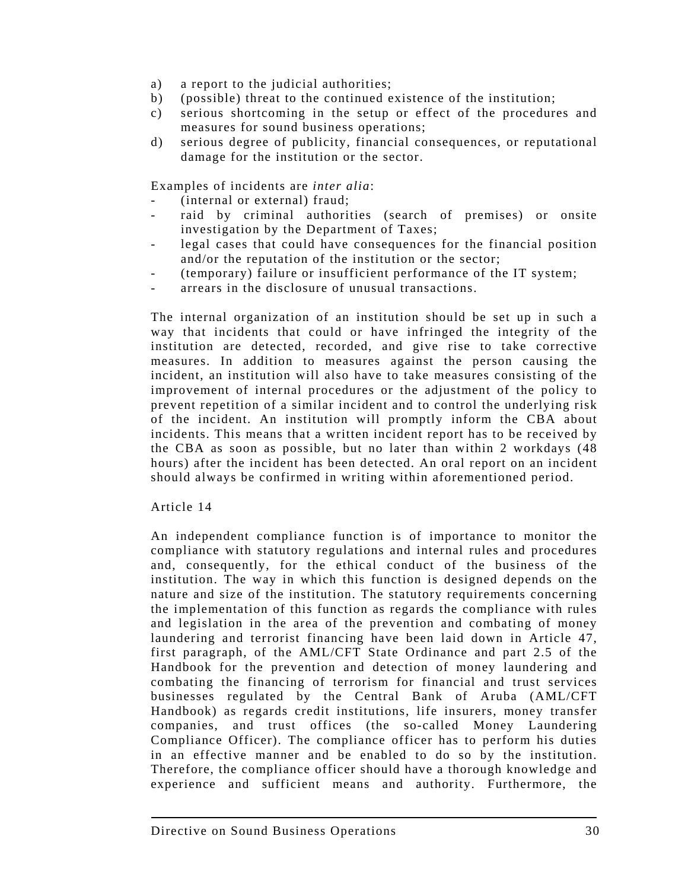- a) a report to the judicial authorities;
- b) (possible) threat to the continued existence of the institution;
- c) serious shortcoming in the setup or effect of the procedures and measures for sound business operations;
- d) serious degree of publicity, financial consequences, or reputational damage for the institution or the sector.

Examples of incidents are *inter alia*:

- (internal or external) fraud;
- raid by criminal authorities (search of premises) or onsite investigation by the Department of Taxes;
- legal cases that could have consequences for the financial position and/or the reputation of the institution or the sector;
- (temporary) failure or insufficient performance of the IT system;
- arrears in the disclosure of unusual transactions.

The internal organization of an institution should be set up in such a way that incidents that could or have infringed the integrity of the institution are detected, recorded, and give rise to take corrective measures. In addition to measures against the person causing the incident, an institution will also have to take measures consisting of the improvement of internal procedures or the adjustment of the policy to prevent repetition of a similar incident and to control the underlying risk of the incident. An institution will promptly inform the CBA about incidents. This means that a written incident report has to be received by the CBA as soon as possible, but no later than within 2 workdays (48 hours) after the incident has been detected. An oral report on an incident should always be confirmed in writing within aforementioned period.

#### Article 14

An independent compliance function is of importance to monitor the compliance with statutory regulations and internal rules and procedures and, consequently, for the ethical conduct of the business of the institution. The way in which this function is designed depends on the nature and size of the institution. The statutory requirements concerning the implementation of this function as regards the compliance with rules and legislation in the area of the prevention and combating of money laundering and terrorist financing have been laid down in Article 47, first paragraph, of the AML/CFT State Ordinance and part 2.5 of the Handbook for the prevention and detection of money laundering and combating the financing of terrorism for financial and trust services businesses regulated by the Central Bank of Aruba (AML/CFT Handbook) as regards credit institutions, life insurers, money transfer companies, and trust offices (the so-called Money Laundering Compliance Officer). The compliance officer has to perform his duties in an effective manner and be enabled to do so by the institution. Therefore, the compliance officer should have a thorough knowledge and experience and sufficient means and authority. Furthermore, the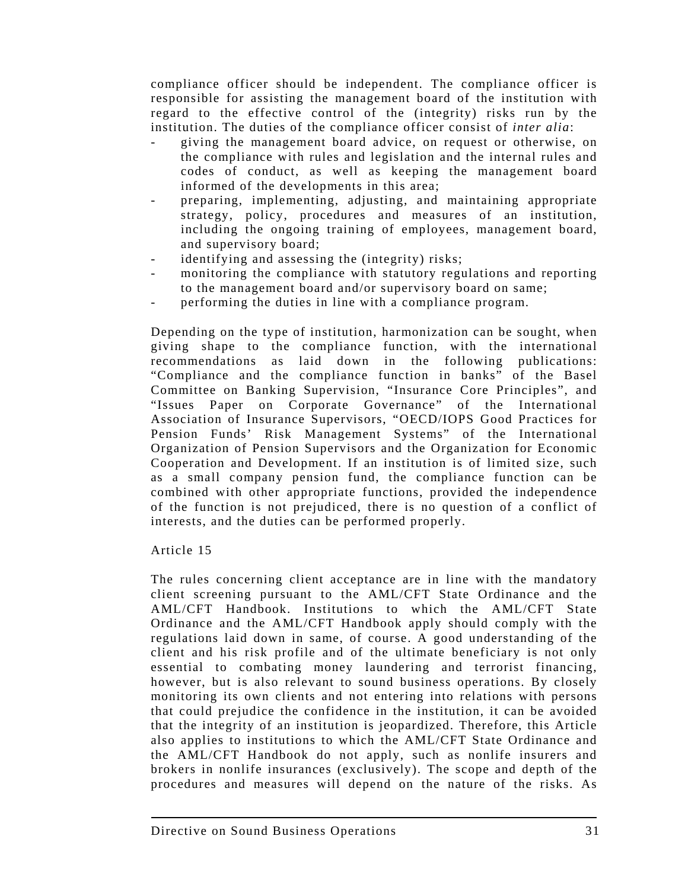compliance officer should be independent. The compliance officer is responsible for assisting the management board of the institution with regard to the effective control of the (integrity) risks run by the institution. The duties of the compliance officer consist of *inter alia*:

- giving the management board advice, on request or otherwise, on the compliance with rules and legislation and the internal rules and codes of conduct, as well as keeping the management board informed of the developments in this area;
- preparing, implementing, adjusting, and maintaining appropriate strategy, policy, procedures and measures of an institution, including the ongoing training of employees, management board, and supervisory board;
- identifying and assessing the (integrity) risks;
- monitoring the compliance with statutory regulations and reporting to the management board and/or supervisory board on same;
- performing the duties in line with a compliance program.

Depending on the type of institution, harmonization can be sought, when giving shape to the compliance function, with the international recommendations as laid down in the following publications: "Compliance and the compliance function in banks" of the Basel Committee on Banking Supervision, "Insurance Core Principles", and "Issues Paper on Corporate Governance" of the International Association of Insurance Supervisors, "OECD/IOPS Good Practices for Pension Funds' Risk Management Systems" of the International Organization of Pension Supervisors and the Organization for Economic Cooperation and Development. If an institution is of limited size, such as a small company pension fund, the compliance function can be combined with other appropriate functions, provided the independence of the function is not prejudiced, there is no question of a conflict of interests, and the duties can be performed properly.

Article 15

The rules concerning client acceptance are in line with the mandatory client screening pursuant to the AML/CFT State Ordinance and the AML/CFT Handbook. Institutions to which the AML/CFT State Ordinance and the AML/CFT Handbook apply should comply with the regulations laid down in same, of course. A good understanding of the client and his risk profile and of the ultimate beneficiary is not only essential to combating money laundering and terrorist financing, however, but is also relevant to sound business operations. By closely monitoring its own clients and not entering into relations with persons that could prejudice the confidence in the institution, it can be avoided that the integrity of an institution is jeopardized. Therefore, this Article also applies to institutions to which the AML/CFT State Ordinance and the AML/CFT Handbook do not apply, such as nonlife insurers and brokers in nonlife insurances (exclusively). The scope and depth of the procedures and measures will depend on the nature of the risks. As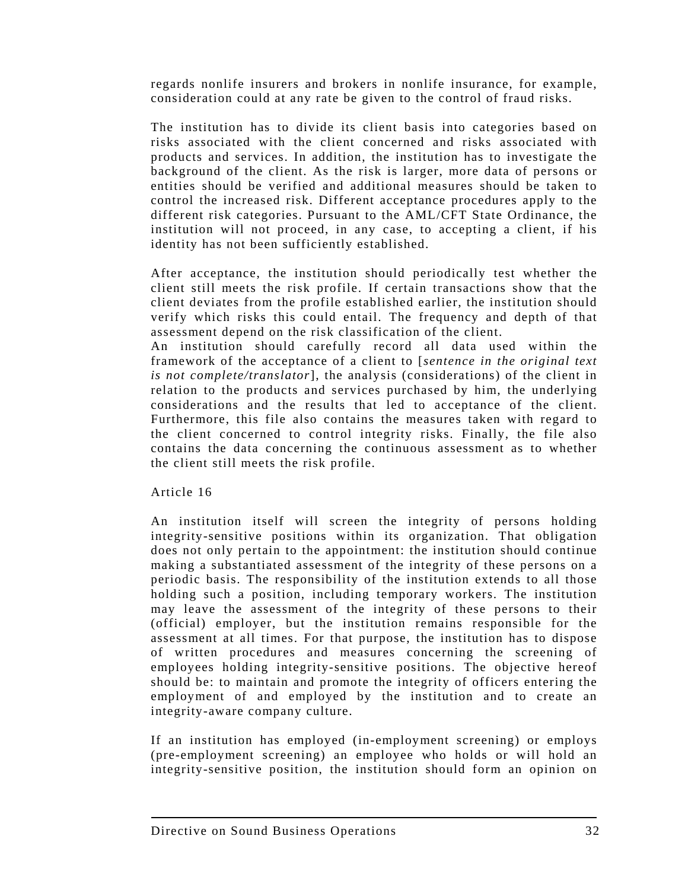regards nonlife insurers and brokers in nonlife insurance, for example, consideration could at any rate be given to the control of fraud risks.

The institution has to divide its client basis into categories based on risks associated with the client concerned and risks associated with products and services. In addition, the institution has to investigate the background of the client. As the risk is larger, more data of persons or entities should be verified and additional measures should be taken to control the increased risk. Different acceptance procedures apply to the different risk categories. Pursuant to the AML/CFT State Ordinance, the institution will not proceed, in any case, to accepting a client, if his identity has not been sufficiently established.

After acceptance, the institution should periodically test whether the client still meets the risk profile. If certain transactions show that the client deviates from the profile established earlier, the institution should verify which risks this could entail. The frequency and depth of that assessment depend on the risk classification of the client.

An institution should carefully record all data used within the framework of the acceptance of a client to [*sentence in the original text is not complete/translator*], the analysis (considerations) of the client in relation to the products and services purchased by him, the underlying considerations and the results that led to acceptance of the client. Furthermore, this file also contains the measures taken with regard to the client concerned to control integrity risks. Finally, the file also contains the data concerning the continuous assessment as to whether the client still meets the risk profile.

Article 16

An institution itself will screen the integrity of persons holding integrity-sensitive positions within its organization. That obligation does not only pertain to the appointment: the institution should continue making a substantiated assessment of the integrity of these persons on a periodic basis. The responsibility of the institution extends to all those holding such a position, including temporary workers. The institution may leave the assessment of the integrity of these persons to their (official) employer, but the institution remains responsible for the assessment at all times. For that purpose, the institution has to dispose of written procedures and measures concerning the screening of employees holding integrity-sensitive positions. The objective hereof should be: to maintain and promote the integrity of officers entering the employment of and employed by the institution and to create an integrity-aware company culture.

If an institution has employed (in-employment screening) or employs (pre-employment screening) an employee who holds or will hold an integrity-sensitive position, the institution should form an opinion on